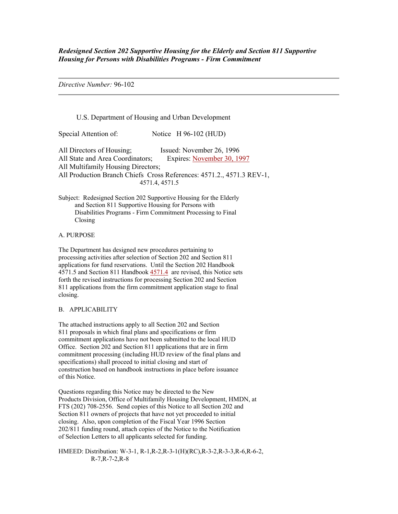*Redesigned Section 202 Supportive Housing for the Elderly and Section 811 Supportive Housing for Persons with Disabilities Programs - Firm Commitment* 

*Directive Number:* 96-102

# U.S. Department of Housing and Urban Development

Special Attention of: Notice H 96-102 (HUD)

All Directors of Housing; Issued: November 26, 1996 All State and Area Coordinators; Expires: November 30, 1997 All Multifamily Housing Directors; All Production Branch Chiefs Cross References: 4571.2., 4571.3 REV-1, 4571.4, 4571.5

Subject: Redesigned Section 202 Supportive Housing for the Elderly and Section 811 Supportive Housing for Persons with Disabilities Programs - Firm Commitment Processing to Final Closing

A. PURPOSE

The Department has designed new procedures pertaining to processing activities after selection of Section 202 and Section 811 applications for fund reservations. Until the Section 202 Handbook 4571.5 and Section 811 Handbook 4571.4 are revised, this Notice sets forth the revised instructions for processing Section 202 and Section 811 applications from the firm commitment application stage to final closing.

#### B. APPLICABILITY

The attached instructions apply to all Section 202 and Section 811 proposals in which final plans and specifications or firm commitment applications have not been submitted to the local HUD Office. Section 202 and Section 811 applications that are in firm commitment processing (including HUD review of the final plans and specifications) shall proceed to initial closing and start of construction based on handbook instructions in place before issuance of this Notice.

Questions regarding this Notice may be directed to the New Products Division, Office of Multifamily Housing Development, HMDN, at FTS (202) 708-2556. Send copies of this Notice to all Section 202 and Section 811 owners of projects that have not yet proceeded to initial closing. Also, upon completion of the Fiscal Year 1996 Section 202/811 funding round, attach copies of the Notice to the Notification of Selection Letters to all applicants selected for funding.

HMEED: Distribution: W-3-1, R-1,R-2,R-3-1(H)(RC),R-3-2,R-3-3,R-6,R-6-2, R-7,R-7-2,R-8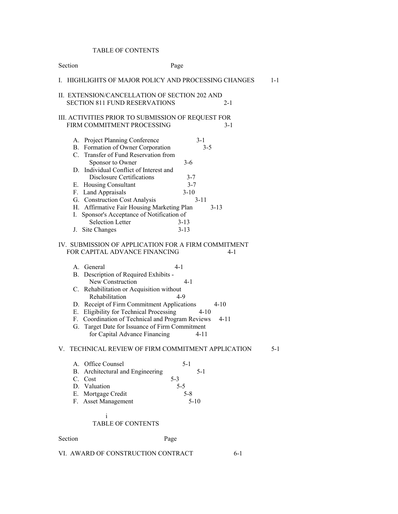# TABLE OF CONTENTS

| Section                                                                                                                                                                                                                                                                                                                                                                                                                                    | Page                                                                                                        |
|--------------------------------------------------------------------------------------------------------------------------------------------------------------------------------------------------------------------------------------------------------------------------------------------------------------------------------------------------------------------------------------------------------------------------------------------|-------------------------------------------------------------------------------------------------------------|
| I.                                                                                                                                                                                                                                                                                                                                                                                                                                         | HIGHLIGHTS OF MAJOR POLICY AND PROCESSING CHANGES<br>$1 - 1$                                                |
| II. EXTENSION/CANCELLATION OF SECTION 202 AND<br><b>SECTION 811 FUND RESERVATIONS</b>                                                                                                                                                                                                                                                                                                                                                      | 2-1                                                                                                         |
| III. ACTIVITIES PRIOR TO SUBMISSION OF REQUEST FOR<br>FIRM COMMITMENT PROCESSING                                                                                                                                                                                                                                                                                                                                                           | $3 - 1$                                                                                                     |
| A. Project Planning Conference<br>B. Formation of Owner Corporation<br>C. Transfer of Fund Reservation from<br>Sponsor to Owner<br>D. Individual Conflict of Interest and<br><b>Disclosure Certifications</b><br>E. Housing Consultant<br>F. Land Appraisals<br>G. Construction Cost Analysis<br>H. Affirmative Fair Housing Marketing Plan<br>Sponsor's Acceptance of Notification of<br>I.<br><b>Selection Letter</b><br>J. Site Changes | $3 - 1$<br>$3 - 5$<br>$3-6$<br>$3 - 7$<br>$3 - 7$<br>$3-10$<br>$3 - 11$<br>$3 - 13$<br>$3 - 13$<br>$3 - 13$ |
| IV. SUBMISSION OF APPLICATION FOR A FIRM COMMITMENT<br>FOR CAPITAL ADVANCE FINANCING                                                                                                                                                                                                                                                                                                                                                       | $4 - 1$                                                                                                     |
| A. General<br>B. Description of Required Exhibits -<br>New Construction<br>C. Rehabilitation or Acquisition without<br>Rehabilitation<br>D. Receipt of Firm Commitment Applications<br>E. Eligibility for Technical Processing<br>F. Coordination of Technical and Program Reviews<br>G. Target Date for Issuance of Firm Commitment<br>for Capital Advance Financing                                                                      | $4 - 1$<br>$4 - 1$<br>$4-9$<br>4-10<br>$4 - 10$<br>$4 - 11$<br>$4 - 11$                                     |
| V. TECHNICAL REVIEW OF FIRM COMMITMENT APPLICATION<br>A. Office Counsel<br>Architectural and Engineering<br>В.<br>C. Cost<br>D. Valuation<br>E. Mortgage Credit<br>F. Asset Management<br>i<br><b>TABLE OF CONTENTS</b>                                                                                                                                                                                                                    | $5-1$<br>$5 - 1$<br>$5-1$<br>$5 - 3$<br>$5-5$<br>$5 - 8$<br>$5 - 10$                                        |
|                                                                                                                                                                                                                                                                                                                                                                                                                                            |                                                                                                             |
| Section                                                                                                                                                                                                                                                                                                                                                                                                                                    | Page                                                                                                        |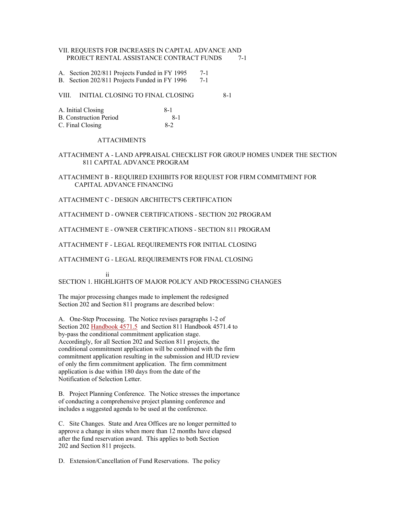# VII. REQUESTS FOR INCREASES IN CAPITAL ADVANCE AND PROJECT RENTAL ASSISTANCE CONTRACT FUNDS 7-1

A. Section 202/811 Projects Funded in FY 1995 7-1

B. Section 202/811 Projects Funded in FY 1996 7-1

VIII. INITIAL CLOSING TO FINAL CLOSING 8-1

| A. Initial Closing            | -8-1  |
|-------------------------------|-------|
| <b>B.</b> Construction Period | - 8-1 |
| C. Final Closing              | 8-2   |

### ATTACHMENTS

# ATTACHMENT A - LAND APPRAISAL CHECKLIST FOR GROUP HOMES UNDER THE SECTION 811 CAPITAL ADVANCE PROGRAM

ATTACHMENT B - REQUIRED EXHIBITS FOR REQUEST FOR FIRM COMMITMENT FOR CAPITAL ADVANCE FINANCING

ATTACHMENT C - DESIGN ARCHITECT'S CERTIFICATION

ATTACHMENT D - OWNER CERTIFICATIONS - SECTION 202 PROGRAM

ATTACHMENT E - OWNER CERTIFICATIONS - SECTION 811 PROGRAM

ATTACHMENT F - LEGAL REQUIREMENTS FOR INITIAL CLOSING

ATTACHMENT G - LEGAL REQUIREMENTS FOR FINAL CLOSING

ii

SECTION 1. HIGHLIGHTS OF MAJOR POLICY AND PROCESSING CHANGES

The major processing changes made to implement the redesigned Section 202 and Section 811 programs are described below:

A. One-Step Processing. The Notice revises paragraphs 1-2 of Section 202 Handbook 4571.5 and Section 811 Handbook 4571.4 to by-pass the conditional commitment application stage. Accordingly, for all Section 202 and Section 811 projects, the conditional commitment application will be combined with the firm commitment application resulting in the submission and HUD review of only the firm commitment application. The firm commitment application is due within 180 days from the date of the Notification of Selection Letter.

B. Project Planning Conference. The Notice stresses the importance of conducting a comprehensive project planning conference and includes a suggested agenda to be used at the conference.

C. Site Changes. State and Area Offices are no longer permitted to approve a change in sites when more than 12 months have elapsed after the fund reservation award. This applies to both Section 202 and Section 811 projects.

D. Extension/Cancellation of Fund Reservations. The policy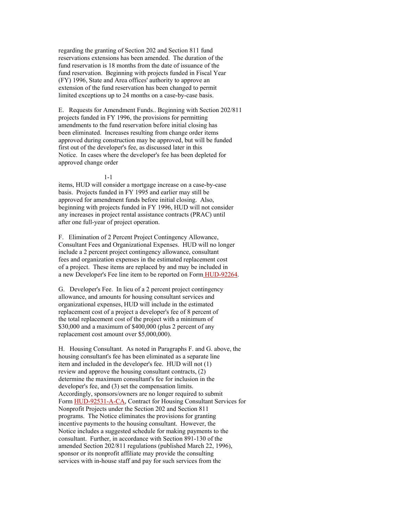regarding the granting of Section 202 and Section 811 fund reservations extensions has been amended. The duration of the fund reservation is 18 months from the date of issuance of the fund reservation. Beginning with projects funded in Fiscal Year (FY) 1996, State and Area offices' authority to approve an extension of the fund reservation has been changed to permit limited exceptions up to 24 months on a case-by-case basis.

E. Requests for Amendment Funds.. Beginning with Section 202/811 projects funded in FY 1996, the provisions for permitting amendments to the fund reservation before initial closing has been eliminated. Increases resulting from change order items approved during construction may be approved, but will be funded first out of the developer's fee, as discussed later in this Notice. In cases where the developer's fee has been depleted for approved change order

#### 1-1

items, HUD will consider a mortgage increase on a case-by-case basis. Projects funded in FY 1995 and earlier may still be approved for amendment funds before initial closing. Also, beginning with projects funded in FY 1996, HUD will not consider any increases in project rental assistance contracts (PRAC) until after one full-year of project operation.

F. Elimination of 2 Percent Project Contingency Allowance, Consultant Fees and Organizational Expenses. HUD will no longer include a 2 percent project contingency allowance, consultant fees and organization expenses in the estimated replacement cost of a project. These items are replaced by and may be included in a new Developer's Fee line item to be reported on Form HUD-92264.

G. Developer's Fee. In lieu of a 2 percent project contingency allowance, and amounts for housing consultant services and organizational expenses, HUD will include in the estimated replacement cost of a project a developer's fee of 8 percent of the total replacement cost of the project with a minimum of \$30,000 and a maximum of \$400,000 (plus 2 percent of any replacement cost amount over \$5,000,000).

H. Housing Consultant. As noted in Paragraphs F. and G. above, the housing consultant's fee has been eliminated as a separate line item and included in the developer's fee. HUD will not (1) review and approve the housing consultant contracts, (2) determine the maximum consultant's fee for inclusion in the developer's fee, and (3) set the compensation limits. Accordingly, sponsors/owners are no longer required to submit Form HUD-92531-A-CA, Contract for Housing Consultant Services for Nonprofit Projects under the Section 202 and Section 811 programs. The Notice eliminates the provisions for granting incentive payments to the housing consultant. However, the Notice includes a suggested schedule for making payments to the consultant. Further, in accordance with Section 891-130 of the amended Section 202/811 regulations (published March 22, 1996), sponsor or its nonprofit affiliate may provide the consulting services with in-house staff and pay for such services from the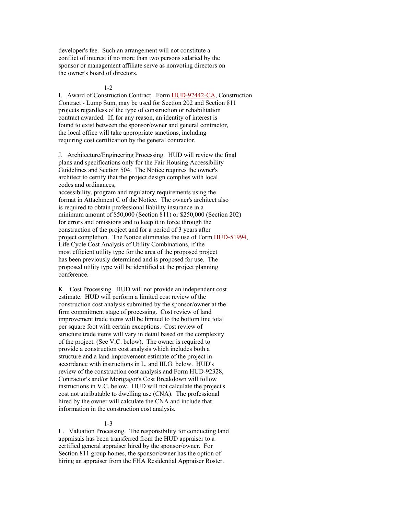developer's fee. Such an arrangement will not constitute a conflict of interest if no more than two persons salaried by the sponsor or management affiliate serve as nonvoting directors on the owner's board of directors.

#### 1-2

I. Award of Construction Contract. Form HUD-92442-CA, Construction Contract - Lump Sum, may be used for Section 202 and Section 811 projects regardless of the type of construction or rehabilitation contract awarded. If, for any reason, an identity of interest is found to exist between the sponsor/owner and general contractor, the local office will take appropriate sanctions, including requiring cost certification by the general contractor.

J. Architecture/Engineering Processing. HUD will review the final plans and specifications only for the Fair Housing Accessibility Guidelines and Section 504. The Notice requires the owner's architect to certify that the project design complies with local codes and ordinances,

accessibility, program and regulatory requirements using the format in Attachment C of the Notice. The owner's architect also is required to obtain professional liability insurance in a minimum amount of \$50,000 (Section 811) or \$250,000 (Section 202) for errors and omissions and to keep it in force through the construction of the project and for a period of 3 years after project completion. The Notice eliminates the use of Form HUD-51994, Life Cycle Cost Analysis of Utility Combinations, if the most efficient utility type for the area of the proposed project has been previously determined and is proposed for use. The proposed utility type will be identified at the project planning conference.

K. Cost Processing. HUD will not provide an independent cost estimate. HUD will perform a limited cost review of the construction cost analysis submitted by the sponsor/owner at the firm commitment stage of processing. Cost review of land improvement trade items will be limited to the bottom line total per square foot with certain exceptions. Cost review of structure trade items will vary in detail based on the complexity of the project. (See V.C. below). The owner is required to provide a construction cost analysis which includes both a structure and a land improvement estimate of the project in accordance with instructions in L. and III.G. below. HUD's review of the construction cost analysis and Form HUD-92328, Contractor's and/or Mortgagor's Cost Breakdown will follow instructions in V.C. below. HUD will not calculate the project's cost not attributable to dwelling use (CNA). The professional hired by the owner will calculate the CNA and include that information in the construction cost analysis.

#### 1-3

L. Valuation Processing. The responsibility for conducting land appraisals has been transferred from the HUD appraiser to a certified general appraiser hired by the sponsor/owner. For Section 811 group homes, the sponsor/owner has the option of hiring an appraiser from the FHA Residential Appraiser Roster.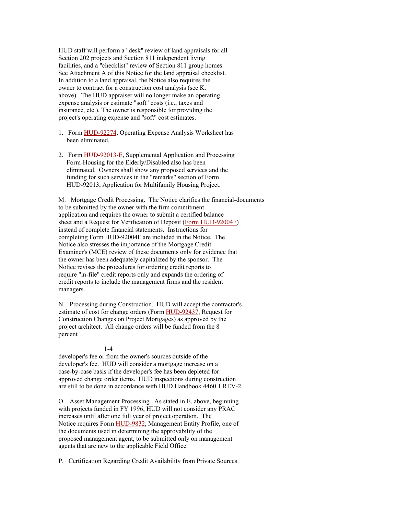HUD staff will perform a "desk" review of land appraisals for all Section 202 projects and Section 811 independent living facilities, and a "checklist" review of Section 811 group homes. See Attachment A of this Notice for the land appraisal checklist. In addition to a land appraisal, the Notice also requires the owner to contract for a construction cost analysis (see K. above). The HUD appraiser will no longer make an operating expense analysis or estimate "soft" costs (i.e., taxes and insurance, etc.). The owner is responsible for providing the project's operating expense and "soft" cost estimates.

- 1. Form HUD-92274, Operating Expense Analysis Worksheet has been eliminated.
- 2. Form HUD-92013-E, Supplemental Application and Processing Form-Housing for the Elderly/Disabled also has been eliminated. Owners shall show any proposed services and the funding for such services in the "remarks" section of Form HUD-92013, Application for Multifamily Housing Project.

M. Mortgage Credit Processing. The Notice clarifies the financial-documents to be submitted by the owner with the firm commitment application and requires the owner to submit a certified balance sheet and a Request for Verification of Deposit (Form HUD-92004F) instead of complete financial statements. Instructions for completing Form HUD-92004F are included in the Notice. The Notice also stresses the importance of the Mortgage Credit Examiner's (MCE) review of these documents only for evidence that the owner has been adequately capitalized by the sponsor. The Notice revises the procedures for ordering credit reports to require "in-file" credit reports only and expands the ordering of credit reports to include the management firms and the resident managers.

N. Processing during Construction. HUD will accept the contractor's estimate of cost for change orders (Form HUD-92437, Request for Construction Changes on Project Mortgages) as approved by the project architect. All change orders will be funded from the 8 percent

### 1-4

developer's fee or from the owner's sources outside of the developer's fee. HUD will consider a mortgage increase on a case-by-case basis if the developer's fee has been depleted for approved change order items. HUD inspections during construction are still to be done in accordance with HUD Handbook 4460.1 REV-2.

O. Asset Management Processing. As stated in E. above, beginning with projects funded in FY 1996, HUD will not consider any PRAC increases until after one full year of project operation. The Notice requires Form **HUD-9832**, Management Entity Profile, one of the documents used in determining the approvability of the proposed management agent, to be submitted only on management agents that are new to the applicable Field Office.

P. Certification Regarding Credit Availability from Private Sources.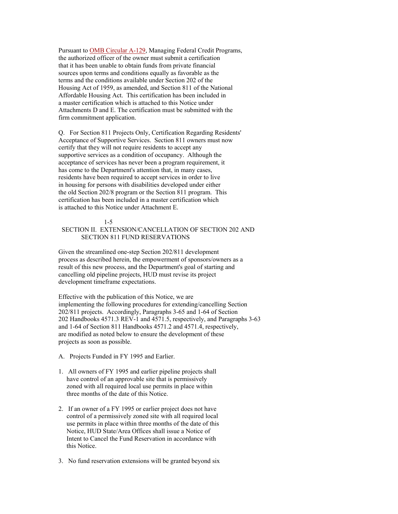Pursuant to [OMB Circular A-129,](http://www.whitehouse.gov/OMB/circulars/a129/a129.html) Managing Federal Credit Programs, the authorized officer of the owner must submit a certification that it has been unable to obtain funds from private financial sources upon terms and conditions equally as favorable as the terms and the conditions available under Section 202 of the Housing Act of 1959, as amended, and Section 811 of the National Affordable Housing Act. This certification has been included in a master certification which is attached to this Notice under Attachments D and E. The certification must be submitted with the firm commitment application.

Q. For Section 811 Projects Only, Certification Regarding Residents' Acceptance of Supportive Services. Section 811 owners must now certify that they will not require residents to accept any supportive services as a condition of occupancy. Although the acceptance of services has never been a program requirement, it has come to the Department's attention that, in many cases, residents have been required to accept services in order to live in housing for persons with disabilities developed under either the old Section 202/8 program or the Section 811 program. This certification has been included in a master certification which is attached to this Notice under Attachment E.

#### 1-5

# SECTION II. EXTENSION/CANCELLATION OF SECTION 202 AND SECTION 811 FUND RESERVATIONS

Given the streamlined one-step Section 202/811 development process as described herein, the empowerment of sponsors/owners as a result of this new process, and the Department's goal of starting and cancelling old pipeline projects, HUD must revise its project development timeframe expectations.

Effective with the publication of this Notice, we are implementing the following procedures for extending/cancelling Section 202/811 projects. Accordingly, Paragraphs 3-65 and 1-64 of Section 202 Handbooks 4571.3 REV-1 and 4571.5, respectively, and Paragraphs 3-63 and 1-64 of Section 811 Handbooks 4571.2 and 4571.4, respectively, are modified as noted below to ensure the development of these projects as soon as possible.

- A. Projects Funded in FY 1995 and Earlier.
- 1. All owners of FY 1995 and earlier pipeline projects shall have control of an approvable site that is permissively zoned with all required local use permits in place within three months of the date of this Notice.
- 2. If an owner of a FY 1995 or earlier project does not have control of a permissively zoned site with all required local use permits in place within three months of the date of this Notice, HUD State/Area Offices shall issue a Notice of Intent to Cancel the Fund Reservation in accordance with this Notice.
- 3. No fund reservation extensions will be granted beyond six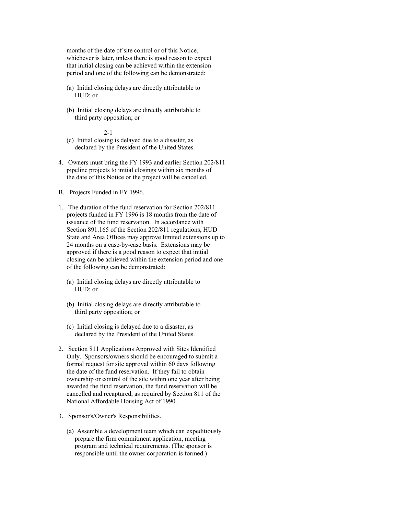months of the date of site control or of this Notice, whichever is later, unless there is good reason to expect that initial closing can be achieved within the extension period and one of the following can be demonstrated:

- (a) Initial closing delays are directly attributable to HUD; or
- (b) Initial closing delays are directly attributable to third party opposition; or

- (c) Initial closing is delayed due to a disaster, as declared by the President of the United States.
- 4. Owners must bring the FY 1993 and earlier Section 202/811 pipeline projects to initial closings within six months of the date of this Notice or the project will be cancelled.
- B. Projects Funded in FY 1996.
- 1. The duration of the fund reservation for Section 202/811 projects funded in FY 1996 is 18 months from the date of issuance of the fund reservation. In accordance with Section 891.165 of the Section 202/811 regulations, HUD State and Area Offices may approve limited extensions up to 24 months on a case-by-case basis. Extensions may be approved if there is a good reason to expect that initial closing can be achieved within the extension period and one of the following can be demonstrated:
	- (a) Initial closing delays are directly attributable to HUD; or
	- (b) Initial closing delays are directly attributable to third party opposition; or
	- (c) Initial closing is delayed due to a disaster, as declared by the President of the United States.
- 2. Section 811 Applications Approved with Sites Identified Only. Sponsors/owners should be encouraged to submit a formal request for site approval within 60 days following the date of the fund reservation. If they fail to obtain ownership or control of the site within one year after being awarded the fund reservation, the fund reservation will be cancelled and recaptured, as required by Section 811 of the National Affordable Housing Act of 1990.
- 3. Sponsor's/Owner's Responsibilities.
	- (a) Assemble a development team which can expeditiously prepare the firm commitment application, meeting program and technical requirements. (The sponsor is responsible until the owner corporation is formed.)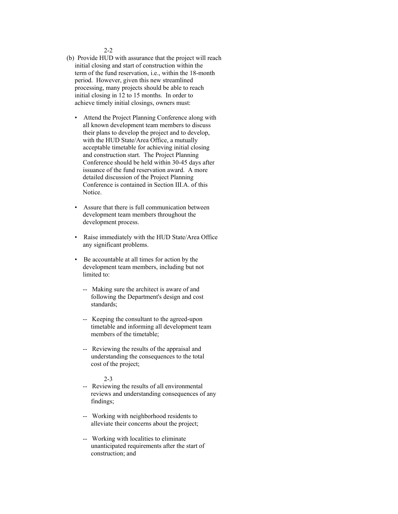2-2

- (b) Provide HUD with assurance that the project will reach initial closing and start of construction within the term of the fund reservation, i.e., within the 18-month period. However, given this new streamlined processing, many projects should be able to reach initial closing in 12 to 15 months. In order to achieve timely initial closings, owners must:
	- Attend the Project Planning Conference along with all known development team members to discuss their plans to develop the project and to develop, with the HUD State/Area Office, a mutually acceptable timetable for achieving initial closing and construction start. The Project Planning Conference should be held within 30-45 days after issuance of the fund reservation award. A more detailed discussion of the Project Planning Conference is contained in Section III.A. of this Notice.
	- Assure that there is full communication between development team members throughout the development process.
	- Raise immediately with the HUD State/Area Office any significant problems.
	- Be accountable at all times for action by the development team members, including but not limited to:
		- -- Making sure the architect is aware of and following the Department's design and cost standards;
		- -- Keeping the consultant to the agreed-upon timetable and informing all development team members of the timetable;
		- -- Reviewing the results of the appraisal and understanding the consequences to the total cost of the project;

- -- Reviewing the results of all environmental reviews and understanding consequences of any findings;
- -- Working with neighborhood residents to alleviate their concerns about the project;
- -- Working with localities to eliminate unanticipated requirements after the start of construction; and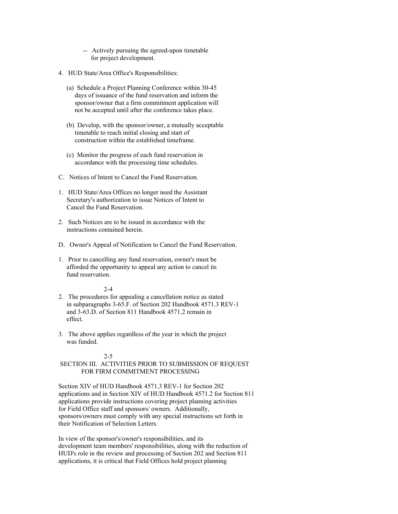- -- Actively pursuing the agreed-upon timetable for project development.
- 4. HUD State/Area Office's Responsibilities:
	- (a) Schedule a Project Planning Conference within 30-45 days of issuance of the fund reservation and inform the sponsor/owner that a firm commitment application will not be accepted until after the conference takes place.
	- (b) Develop, with the sponsor/owner, a mutually acceptable timetable to reach initial closing and start of construction within the established timeframe.
	- (c) Monitor the progress of each fund reservation in accordance with the processing time schedules.
- C. Notices of Intent to Cancel the Fund Reservation.
- 1. HUD State/Area Offices no longer need the Assistant Secretary's authorization to issue Notices of Intent to Cancel the Fund Reservation.
- 2. Such Notices are to be issued in accordance with the instructions contained herein.
- D. Owner's Appeal of Notification to Cancel the Fund Reservation.
- 1. Prior to cancelling any fund reservation, owner's must be afforded the opportunity to appeal any action to cancel its fund reservation.

### 2-4

- 2. The procedures for appealing a cancellation notice as stated in subparagraphs 3-65.F. of Section 202 Handbook 4571.3 REV-1 and 3-63.D. of Section 811 Handbook 4571.2 remain in effect.
- 3. The above applies regardless of the year in which the project was funded.

# 2-5

# SECTION III. ACTIVITIES PRIOR TO SUBMISSION OF REQUEST FOR FIRM COMMITMENT PROCESSING

Section XIV of HUD Handbook 4571.3 REV-1 for Section 202 applications and in Section XIV of HUD Handbook 4571.2 for Section 811 applications provide instructions covering project planning activities for Field Office staff and sponsors/ owners. Additionally, sponsors/owners must comply with any special instructions set forth in their Notification of Selection Letters.

In view of the sponsor's/owner's responsibilities, and its development team members' responsibilities, along with the reduction of HUD's role in the review and processing of Section 202 and Section 811 applications, it is critical that Field Offices hold project planning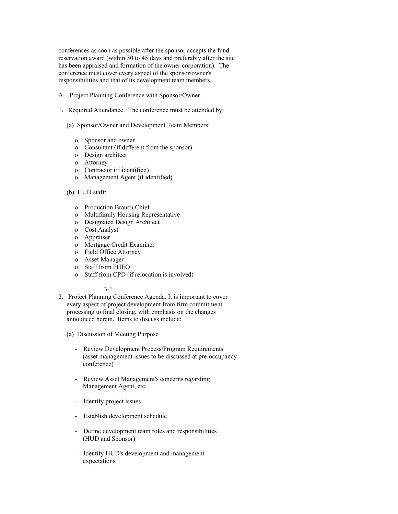conferences as soon as possible after the sponsor accepts the fund reservation award (within 30 to 45 days and preferably after the site has been appraised and formation of the owner corporation). The conference must cover every aspect of the sponsor/owner's responsibilities and that of its development team members.

- A. Project Planning Conference with Sponsor/Owner.
- 1. Required Attendance. The conference must be attended by:
	- (a) Sponsor/Owner and Development Team Members:
		- o Sponsor and owner
		- o Consultant (if different from the sponsor)
		- o Design architect
		- o Attorney
		- o Contractor (if identified)
		- o Management Agent (if identified)

### (b) HUD staff:

- o Production Branch Chief
- o Multifamily Housing Representative
- o Designated Design Architect
- o Cost Analyst
- o Appraiser
- o Mortgage Credit Examiner
- o Field Office Attorney
- o Asset Manager
- o Staff from FHEO
- o Staff from CPD (if relocation is involved)

### 3-1

2. Project Planning Conference Agenda. It is important to cover every aspect of project development from firm commitment processing to final closing, with emphasis on the changes announced herein. Items to discuss include:

(a) Discussion of Meeting Purpose

- Review Development Process/Program Requirements (asset management issues to be discussed at pre-occupancy conference)
- Review Asset Management's concerns regarding Management Agent, etc.
- Identify project issues
- Establish development schedule
- Define development team roles and responsibilities (HUD and Sponsor)
- Identify HUD's development and management expectations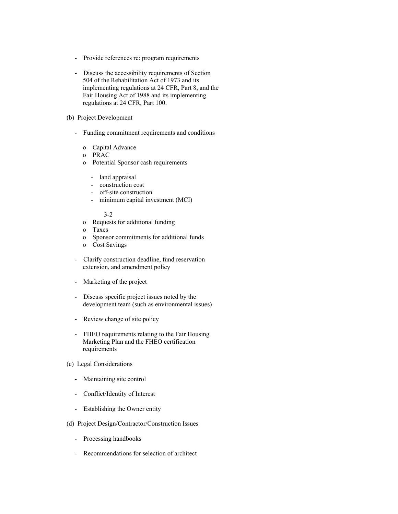- Provide references re: program requirements
- Discuss the accessibility requirements of Section 504 of the Rehabilitation Act of 1973 and its implementing regulations at 24 CFR, Part 8, and the Fair Housing Act of 1988 and its implementing regulations at 24 CFR, Part 100.

# (b) Project Development

- Funding commitment requirements and conditions
	- o Capital Advance
	- o PRAC
	- o Potential Sponsor cash requirements
		- land appraisal
		- construction cost
		- off-site construction
		- minimum capital investment (MCI)
	- 3-2
	- o Requests for additional funding
	- o Taxes
	- o Sponsor commitments for additional funds
	- o Cost Savings
- Clarify construction deadline, fund reservation extension, and amendment policy
- Marketing of the project
- Discuss specific project issues noted by the development team (such as environmental issues)
- Review change of site policy
- FHEO requirements relating to the Fair Housing Marketing Plan and the FHEO certification requirements
- (c) Legal Considerations
	- Maintaining site control
	- Conflict/Identity of Interest
	- Establishing the Owner entity
- (d) Project Design/Contractor/Construction Issues
	- Processing handbooks
	- Recommendations for selection of architect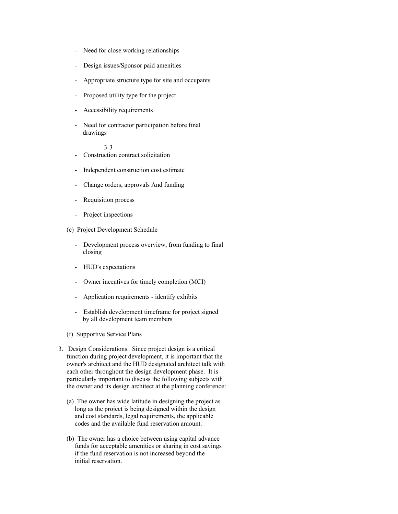- Need for close working relationships
- Design issues/Sponsor paid amenities
- Appropriate structure type for site and occupants
- Proposed utility type for the project
- Accessibility requirements
- Need for contractor participation before final drawings

- Construction contract solicitation
- Independent construction cost estimate
- Change orders, approvals And funding
- Requisition process
- Project inspections
- (e) Project Development Schedule
	- Development process overview, from funding to final closing
	- HUD's expectations
	- Owner incentives for timely completion (MCI)
	- Application requirements identify exhibits
	- Establish development timeframe for project signed by all development team members
- (f) Supportive Service Plans
- 3. Design Considerations. Since project design is a critical function during project development, it is important that the owner's architect and the HUD designated architect talk with each other throughout the design development phase. It is particularly important to discuss the following subjects with the owner and its design architect at the planning conference:
	- (a) The owner has wide latitude in designing the project as long as the project is being designed within the design and cost standards, legal requirements, the applicable codes and the available fund reservation amount.
	- (b) The owner has a choice between using capital advance funds for acceptable amenities or sharing in cost savings if the fund reservation is not increased beyond the initial reservation.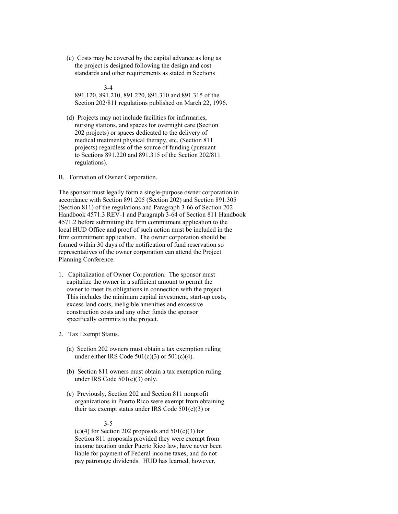(c) Costs may be covered by the capital advance as long as the project is designed following the design and cost standards and other requirements as stated in Sections

 3-4 891.120, 891.210, 891.220, 891.310 and 891.315 of the Section 202/811 regulations published on March 22, 1996.

 (d) Projects may not include facilities for infirmaries, nursing stations, and spaces for overnight care (Section 202 projects) or spaces dedicated to the delivery of medical treatment physical therapy, etc, (Section 811 projects) regardless of the source of funding (pursuant to Sections 891.220 and 891.315 of the Section 202/811 regulations).

B. Formation of Owner Corporation.

The sponsor must legally form a single-purpose owner corporation in accordance with Section 891.205 (Section 202) and Section 891.305 (Section 811) of the regulations and Paragraph 3-66 of Section 202 Handbook 4571.3 REV-1 and Paragraph 3-64 of Section 811 Handbook 4571.2 before submitting the firm commitment application to the local HUD Office and proof of such action must be included in the firm commitment application. The owner corporation should be formed within 30 days of the notification of fund reservation so representatives of the owner corporation can attend the Project Planning Conference.

- 1. Capitalization of Owner Corporation. The sponsor must capitalize the owner in a sufficient amount to permit the owner to meet its obligations in connection with the project. This includes the minimum capital investment, start-up costs, excess land costs, ineligible amenities and excessive construction costs and any other funds the sponsor specifically commits to the project.
- 2. Tax Exempt Status.
	- (a) Section 202 owners must obtain a tax exemption ruling under either IRS Code  $501(c)(3)$  or  $501(c)(4)$ .
	- (b) Section 811 owners must obtain a tax exemption ruling under IRS Code 501(c)(3) only.
	- (c) Previously, Section 202 and Section 811 nonprofit organizations in Puerto Rico were exempt from obtaining their tax exempt status under IRS Code  $501(c)(3)$  or

#### 3-5

 $(c)(4)$  for Section 202 proposals and 501 $(c)(3)$  for Section 811 proposals provided they were exempt from income taxation under Puerto Rico law, have never been liable for payment of Federal income taxes, and do not pay patronage dividends. HUD has learned, however,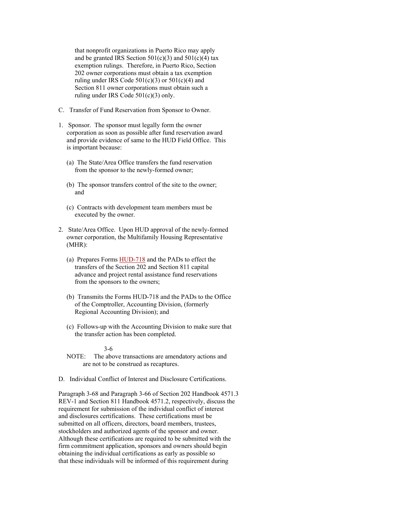that nonprofit organizations in Puerto Rico may apply and be granted IRS Section  $501(c)(3)$  and  $501(c)(4)$  tax exemption rulings. Therefore, in Puerto Rico, Section 202 owner corporations must obtain a tax exemption ruling under IRS Code  $501(c)(3)$  or  $501(c)(4)$  and Section 811 owner corporations must obtain such a ruling under IRS Code 501(c)(3) only.

- C. Transfer of Fund Reservation from Sponsor to Owner.
- 1. Sponsor. The sponsor must legally form the owner corporation as soon as possible after fund reservation award and provide evidence of same to the HUD Field Office. This is important because:
	- (a) The State/Area Office transfers the fund reservation from the sponsor to the newly-formed owner;
	- (b) The sponsor transfers control of the site to the owner; and
	- (c) Contracts with development team members must be executed by the owner.
- 2. State/Area Office. Upon HUD approval of the newly-formed owner corporation, the Multifamily Housing Representative (MHR):
	- (a) Prepares Forms HUD-718 and the PADs to effect the transfers of the Section 202 and Section 811 capital advance and project rental assistance fund reservations from the sponsors to the owners;
	- (b) Transmits the Forms HUD-718 and the PADs to the Office of the Comptroller, Accounting Division, (formerly Regional Accounting Division); and
	- (c) Follows-up with the Accounting Division to make sure that the transfer action has been completed.

#### 3-6

- NOTE: The above transactions are amendatory actions and are not to be construed as recaptures.
- D. Individual Conflict of Interest and Disclosure Certifications.

Paragraph 3-68 and Paragraph 3-66 of Section 202 Handbook 4571.3 REV-1 and Section 811 Handbook 4571.2, respectively, discuss the requirement for submission of the individual conflict of interest and disclosures certifications. These certifications must be submitted on all officers, directors, board members, trustees, stockholders and authorized agents of the sponsor and owner. Although these certifications are required to be submitted with the firm commitment application, sponsors and owners should begin obtaining the individual certifications as early as possible so that these individuals will be informed of this requirement during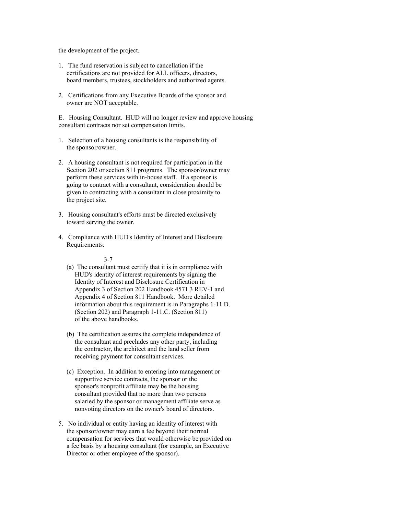the development of the project.

- 1. The fund reservation is subject to cancellation if the certifications are not provided for ALL officers, directors, board members, trustees, stockholders and authorized agents.
- 2. Certifications from any Executive Boards of the sponsor and owner are NOT acceptable.

E. Housing Consultant. HUD will no longer review and approve housing consultant contracts nor set compensation limits.

- 1. Selection of a housing consultants is the responsibility of the sponsor/owner.
- 2. A housing consultant is not required for participation in the Section 202 or section 811 programs. The sponsor/owner may perform these services with in-house staff. If a sponsor is going to contract with a consultant, consideration should be given to contracting with a consultant in close proximity to the project site.
- 3. Housing consultant's efforts must be directed exclusively toward serving the owner.
- 4. Compliance with HUD's Identity of Interest and Disclosure Requirements.

- (a) The consultant must certify that it is in compliance with HUD's identity of interest requirements by signing the Identity of Interest and Disclosure Certification in Appendix 3 of Section 202 Handbook 4571.3 REV-1 and Appendix 4 of Section 811 Handbook. More detailed information about this requirement is in Paragraphs 1-11.D. (Section 202) and Paragraph 1-11.C. (Section 811) of the above handbooks.
- (b) The certification assures the complete independence of the consultant and precludes any other party, including the contractor, the architect and the land seller from receiving payment for consultant services.
- (c) Exception. In addition to entering into management or supportive service contracts, the sponsor or the sponsor's nonprofit affiliate may be the housing consultant provided that no more than two persons salaried by the sponsor or management affiliate serve as nonvoting directors on the owner's board of directors.
- 5. No individual or entity having an identity of interest with the sponsor/owner may earn a fee beyond their normal compensation for services that would otherwise be provided on a fee basis by a housing consultant (for example, an Executive Director or other employee of the sponsor).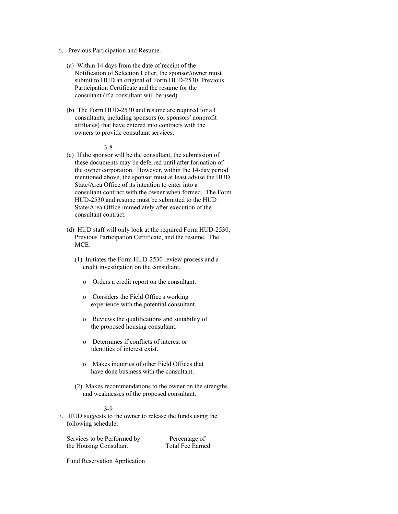- 6. Previous Participation and Resume.
	- (a) Within 14 days from the date of receipt of the Notification of Selection Letter, the sponsor/owner must submit to HUD an original of Form HUD-2530, Previous Participation Certificate and the resume for the consultant (if a consultant will be used).
	- (b) The Form HUD-2530 and resume are required for all consultants, including sponsors (or sponsors' nonprofit affiliates) that have entered into contracts with the owners to provide consultant services.

#### 3-8

- (c) If the sponsor will be the consultant, the submission of these documents may be deferred until after formation of the owner corporation. However, within the 14-day period mentioned above, the sponsor must at least advise the HUD State/Area Office of its intention to enter into a consultant contract with the owner when formed. The Form HUD-2530 and resume must be submitted to the HUD State/Area Office immediately after execution of the consultant contract.
- (d) HUD staff will only look at the required Form HUD-2530, Previous Participation Certificate, and the resume. The MCE:
	- (1) Initiates the Form HUD-2530 review process and a credit investigation on the consultant.
		- o Orders a credit report on the consultant.
		- o Considers the Field Office's working experience with the potential consultant.
		- o Reviews the qualifications and suitability of the proposed housing consultant.
		- o Determines if conflicts of interest or identities of interest exist.
		- o Makes inquiries of other Field Offices that have done business with the consultant.
	- (2) Makes recommendations to the owner on the strengths and weaknesses of the proposed consultant.

#### 3-9

7. HUD suggests to the owner to release the funds using the following schedule:

Services to be Performed by Percentage of<br>the Housing Consultant Total Fee Earned the Housing Consultant

Fund Reservation Application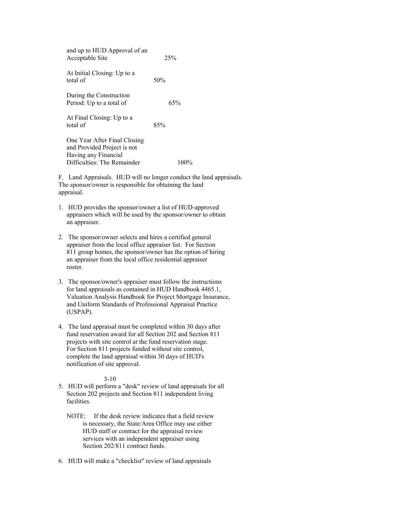| and up to HUD Approval of an<br>Acceptable Site                                                                    | 25% |
|--------------------------------------------------------------------------------------------------------------------|-----|
| At Initial Closing: Up to a<br>total of                                                                            | 50% |
| During the Construction<br>Period: Up to a total of                                                                | 65% |
| At Final Closing: Up to a<br>total of                                                                              | 85% |
| One Year After Final Closing<br>and Provided Project is not<br>Having any Financial<br>Difficulties: The Remainder |     |
|                                                                                                                    |     |

F. Land Appraisals. HUD will no longer conduct the land appraisals. The sponsor/owner is responsible for obtaining the land appraisal.

- 1. HUD provides the sponsor/owner a list of HUD-approved appraisers which will be used by the sponsor/owner to obtain an appraiser.
- 2. The sponsor/owner selects and hires a certified general appraiser from the local office appraiser list. For Section 811 group homes, the sponsor/owner has the option of hiring an appraiser from the local office residential appraiser roster.
- 3. The sponsor/owner's appraiser must follow the instructions for land appraisals as contained in HUD Handbook 4465.1, Valuation Analysis Handbook for Project Mortgage Insurance, and Uniform Standards of Professional Appraisal Practice (USPAP).
- 4. The land appraisal must be completed within 30 days after fund reservation award for all Section 202 and Section 811 projects with site control at the fund reservation stage. For Section 811 projects funded without site control, complete the land appraisal within 30 days of HUD's notification of site approval.

- 5. HUD will perform a "desk" review of land appraisals for all Section 202 projects and Section 811 independent living facilities.
	- NOTE: If the desk review indicates that a field review is necessary, the State/Area Office may use either HUD staff or contract for the appraisal review services with an independent appraiser using Section 202/811 contract funds.
- 6. HUD will make a "checklist" review of land appraisals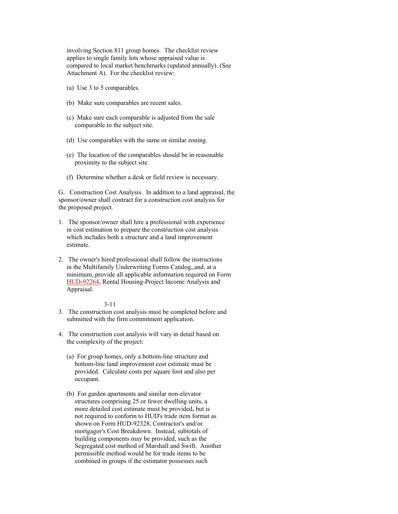involving Section 811 group homes. The checklist review applies to single family lots whose appraised value is compared to local market benchmarks (updated annually). (See Attachment A). For the checklist review:

- (a) Use 3 to 5 comparables.
- (b) Make sure comparables are recent sales.
- (c) Make sure each comparable is adjusted from the sale comparable to the subject site.
- (d) Use comparables with the same or similar zoning.
- (e) The location of the comparables should be in reasonable proximity to the subject site.
- (f) Determine whether a desk or field review is necessary.

G. Construction Cost Analysis. In addition to a land appraisal, the sponsor/owner shall contract for a construction cost analysis for the proposed project.

- 1. The sponsor/owner shall hire a professional with experience in cost estimation to prepare the construction cost analysis which includes both a structure and a land improvement estimate.
- 2. The owner's hired professional shall follow the instructions in the Multifamily Underwriting Forms Catalog,,and, at a minimum, provide all applicable information required on Form HUD-92264, Rental Housing-Project Income Analysis and Appraisal.

- 3. The construction cost analysis must be completed before and submitted with the firm commitment application.
- 4. The construction cost analysis will vary in detail based on the complexity of the project:
	- (a) For group homes, only a bottom-line structure and bottom-line land improvement cost estimate must be provided. Calculate costs per square foot and also per occupant.
	- (b) For garden apartments and similar non-elevator structures comprising 25 or fewer dwelling units, a more detailed cost estimate must be provided, but is not required to conform to HUD's trade item format as shown on Form HUD-92328, Contractor's and/or mortgagor's Cost Breakdown. Instead, subtotals of building components may be provided, such as the Segregated cost method of Marshall and Swift. Another permissible method would be for trade items to be combined in groups if the estimator possesses such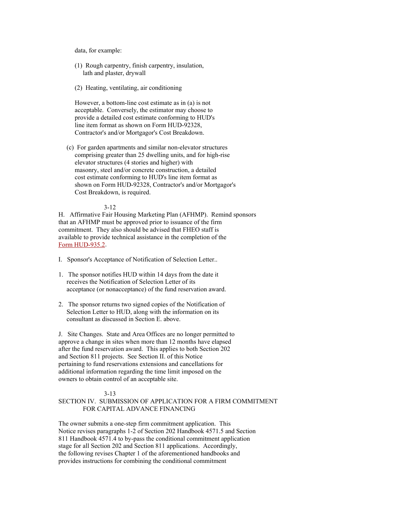data, for example:

- (1) Rough carpentry, finish carpentry, insulation, lath and plaster, drywall
- (2) Heating, ventilating, air conditioning

 However, a bottom-line cost estimate as in (a) is not acceptable. Conversely, the estimator may choose to provide a detailed cost estimate conforming to HUD's line item format as shown on Form HUD-92328, Contractor's and/or Mortgagor's Cost Breakdown.

 (c) For garden apartments and similar non-elevator structures comprising greater than 25 dwelling units, and for high-rise elevator structures (4 stories and higher) with masonry, steel and/or concrete construction, a detailed cost estimate conforming to HUD's line item format as shown on Form HUD-92328, Contractor's and/or Mortgagor's Cost Breakdown, is required.

#### 3-12

H. Affirmative Fair Housing Marketing Plan (AFHMP). Remind sponsors that an AFHMP must be approved prior to issuance of the firm commitment. They also should be advised that FHEO staff is available to provide technical assistance in the completion of the Form HUD-935.2.

- I. Sponsor's Acceptance of Notification of Selection Letter..
- 1. The sponsor notifies HUD within 14 days from the date it receives the Notification of Selection Letter of its acceptance (or nonacceptance) of the fund reservation award.
- 2. The sponsor returns two signed copies of the Notification of Selection Letter to HUD, along with the information on its consultant as discussed in Section E. above.

J. Site Changes. State and Area Offices are no longer permitted to approve a change in sites when more than 12 months have elapsed after the fund reservation award. This applies to both Section 202 and Section 811 projects. See Section II. of this Notice pertaining to fund reservations extensions and cancellations for additional information regarding the time limit imposed on the owners to obtain control of an acceptable site.

# 3-13

# SECTION IV. SUBMISSION OF APPLICATION FOR A FIRM COMMITMENT FOR CAPITAL ADVANCE FINANCING

The owner submits a one-step firm commitment application. This Notice revises paragraphs 1-2 of Section 202 Handbook 4571.5 and Section 811 Handbook 4571.4 to by-pass the conditional commitment application stage for all Section 202 and Section 811 applications. Accordingly, the following revises Chapter 1 of the aforementioned handbooks and provides instructions for combining the conditional commitment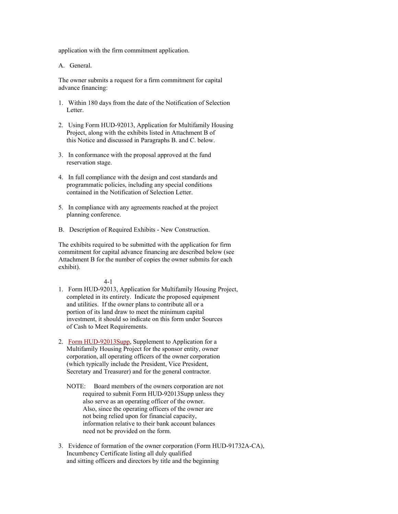application with the firm commitment application.

A. General.

The owner submits a request for a firm commitment for capital advance financing:

- 1. Within 180 days from the date of the Notification of Selection Letter.
- 2. Using Form HUD-92013, Application for Multifamily Housing Project, along with the exhibits listed in Attachment B of this Notice and discussed in Paragraphs B. and C. below.
- 3. In conformance with the proposal approved at the fund reservation stage.
- 4. In full compliance with the design and cost standards and programmatic policies, including any special conditions contained in the Notification of Selection Letter.
- 5. In compliance with any agreements reached at the project planning conference.
- B. Description of Required Exhibits New Construction.

The exhibits required to be submitted with the application for firm commitment for capital advance financing are described below (see Attachment B for the number of copies the owner submits for each exhibit).

- 1. Form HUD-92013, Application for Multifamily Housing Project, completed in its entirety. Indicate the proposed equipment and utilities. If the owner plans to contribute all or a portion of its land draw to meet the minimum capital investment, it should so indicate on this form under Sources of Cash to Meet Requirements.
- 2. Form HUD-92013Supp, Supplement to Application for a Multifamily Housing Project for the sponsor entity, owner corporation, all operating officers of the owner corporation (which typically include the President, Vice President, Secretary and Treasurer) and for the general contractor.
	- NOTE: Board members of the owners corporation are not required to submit Form HUD-92013Supp unless they also serve as an operating officer of the owner. Also, since the operating officers of the owner are not being relied upon for financial capacity, information relative to their bank account balances need not be provided on the form.
- 3. Evidence of formation of the owner corporation (Form HUD-91732A-CA), Incumbency Certificate listing all duly qualified and sitting officers and directors by title and the beginning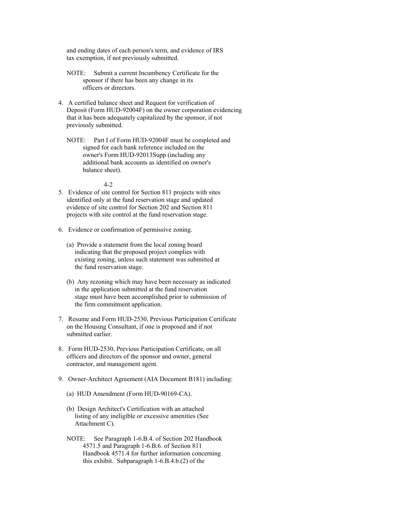and ending dates of each person's term, and evidence of IRS tax exemption, if not previously submitted.

- NOTE: Submit a current Incumbency Certificate for the sponsor if there has been any change in its officers or directors.
- 4. A certified balance sheet and Request for verification of Deposit (Form HUD-92004F) on the owner corporation evidencing that it has been adequately capitalized by the sponsor, if not previously submitted.
	- NOTE: Part I of Form HUD-92004F must be completed and signed for each bank reference included on the owner's Form HUD-92013Supp (including any additional bank accounts as identified on owner's balance sheet).

- 5. Evidence of site control for Section 811 projects with sites identified only at the fund reservation stage and updated evidence of site control for Section 202 and Section 811 projects with site control at the fund reservation stage.
- 6. Evidence or confirmation of permissive zoning.
	- (a) Provide a statement from the local zoning board indicating that the proposed project complies with existing zoning, unless such statement was submitted at the fund reservation stage.
	- (b) Any rezoning which may have been necessary as indicated in the application submitted at the fund reservation stage must have been accomplished prior to submission of the firm commitment application.
- 7. Resume and Form HUD-2530, Previous Participation Certificate on the Housing Consultant, if one is proposed and if not submitted earlier.
- 8. Form HUD-2530, Previous Participation Certificate, on all officers and directors of the sponsor and owner, general contractor, and management agent.
- 9. Owner-Architect Agreement (AIA Document B181) including:
	- (a) HUD Amendment (Form HUD-90169-CA).
	- (b) Design Architect's Certification with an attached listing of any ineligible or excessive amenities (See Attachment C).
	- NOTE: See Paragraph 1-6.B.4. of Section 202 Handbook 4571.5 and Paragraph 1-6.B.6. of Section 811 Handbook 4571.4 for further information concerning this exhibit. Subparagraph 1-6.B.4.b.(2) of the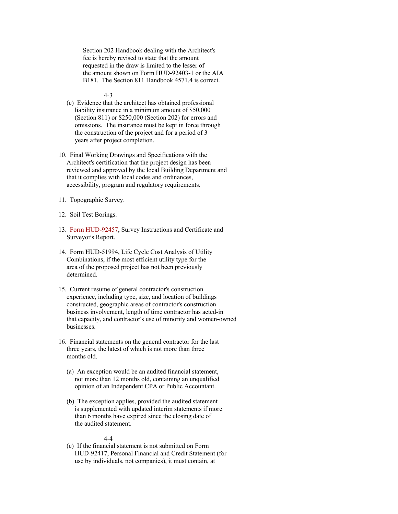Section 202 Handbook dealing with the Architect's fee is hereby revised to state that the amount requested in the draw is limited to the lesser of the amount shown on Form HUD-92403-1 or the AIA B181. The Section 811 Handbook 4571.4 is correct.

4-3

- (c) Evidence that the architect has obtained professional liability insurance in a minimum amount of \$50,000 (Section 811) or \$250,000 (Section 202) for errors and omissions. The insurance must be kept in force through the construction of the project and for a period of 3 years after project completion.
- 10. Final Working Drawings and Specifications with the Architect's certification that the project design has been reviewed and approved by the local Building Department and that it complies with local codes and ordinances, accessibility, program and regulatory requirements.
- 11. Topographic Survey.
- 12. Soil Test Borings.
- 13. Form HUD-92457, Survey Instructions and Certificate and Surveyor's Report.
- 14. Form HUD-51994, Life Cycle Cost Analysis of Utility Combinations, if the most efficient utility type for the area of the proposed project has not been previously determined.
- 15. Current resume of general contractor's construction experience, including type, size, and location of buildings constructed, geographic areas of contractor's construction business involvement, length of time contractor has acted-in that capacity, and contractor's use of minority and women-owned businesses.
- 16. Financial statements on the general contractor for the last three years, the latest of which is not more than three months old.
	- (a) An exception would be an audited financial statement, not more than 12 months old, containing an unqualified opinion of an Independent CPA or Public Accountant.
	- (b) The exception applies, provided the audited statement is supplemented with updated interim statements if more than 6 months have expired since the closing date of the audited statement.

### 4-4

 (c) If the financial statement is not submitted on Form HUD-92417, Personal Financial and Credit Statement (for use by individuals, not companies), it must contain, at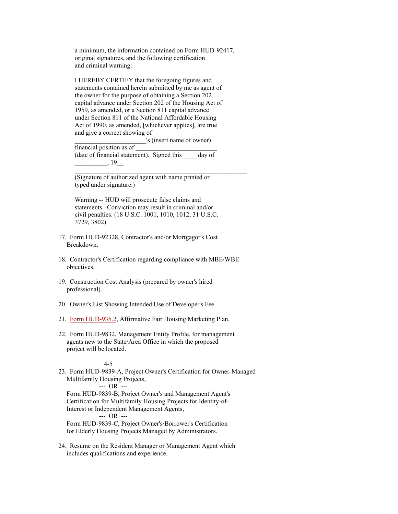a minimum, the information contained on Form HUD-92417, original signatures, and the following certification and criminal warning:

 I HEREBY CERTIFY that the foregoing figures and statements contained herein submitted by me as agent of the owner for the purpose of obtaining a Section 202 capital advance under Section 202 of the Housing Act of 1959, as amended, or a Section 811 capital advance under Section 811 of the National Affordable Housing Act of 1990, as amended, [whichever applies], are true and give a correct showing of

 \_\_\_\_\_\_\_\_\_\_\_\_\_\_\_\_\_\_\_\_\_\_'s (insert name of owner) financial position as of (date of financial statement). Signed this \_\_\_\_ day of  $, 19$ 

 (Signature of authorized agent with name printed or typed under signature.)

 Warning -- HUD will prosecute false claims and statements. Conviction may result in criminal and/or civil penalties. (18 U.S.C. 1001, 1010, 1012; 31 U.S.C. 3729, 3802)

- 17. Form HUD-92328, Contractor's and/or Mortgagor's Cost Breakdown.
- 18. Contractor's Certification regarding compliance with MBE/WBE objectives.
- 19. Construction Cost Analysis (prepared by owner's hired professional).
- 20. Owner's List Showing Intended Use of Developer's Fee.
- 21. Form HUD-935.2, Affirmative Fair Housing Marketing Plan.
- 22. Form HUD-9832, Management Entity Profile, for management agents new to the State/Area Office in which the proposed project will be located.

### 4-5

23. Form HUD-9839-A, Project Owner's Certification for Owner-Managed Multifamily Housing Projects,

--- OR ---

 Form HUD-9839-B, Project Owner's and Management Agent's Certification for Multifamily Housing Projects for Identity-of- Interest or Independent Management Agents,

--- OR ---

 Form HUD-9839-C, Project Owner's/Borrower's Certification for Elderly Housing Projects Managed by Administrators.

24. Resume on the Resident Manager or Management Agent which includes qualifications and experience.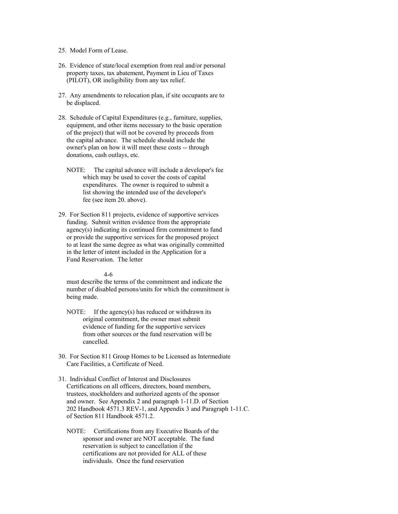# 25. Model Form of Lease.

- 26. Evidence of state/local exemption from real and/or personal property taxes, tax abatement, Payment in Lieu of Taxes (PILOT), OR ineligibility from any tax relief.
- 27. Any amendments to relocation plan, if site occupants are to be displaced.
- 28. Schedule of Capital Expenditures (e.g., furniture, supplies, equipment, and other items necessary to the basic operation of the project) that will not be covered by proceeds from the capital advance. The schedule should include the owner's plan on how it will meet these costs -- through donations, cash outlays, etc.
	- NOTE: The capital advance will include a developer's fee which may be used to cover the costs of capital expenditures. The owner is required to submit a list showing the intended use of the developer's fee (see item 20. above).
- 29. For Section 811 projects, evidence of supportive services funding. Submit written evidence from the appropriate agency(s) indicating its continued firm commitment to fund or provide the supportive services for the proposed project to at least the same degree as what was originally committed in the letter of intent included in the Application for a Fund Reservation. The letter

#### 4-6

 must describe the terms of the commitment and indicate the number of disabled persons/units for which the commitment is being made.

- NOTE: If the agency(s) has reduced or withdrawn its original commitment, the owner must submit evidence of funding for the supportive services from other sources or the fund reservation will be cancelled.
- 30. For Section 811 Group Homes to be Licensed as Intermediate Care Facilities, a Certificate of Need.
- 31. Individual Conflict of Interest and Disclosures Certifications on all officers, directors, board members, trustees, stockholders and authorized agents of the sponsor and owner. See Appendix 2 and paragraph 1-11.D. of Section 202 Handbook 4571.3 REV-1, and Appendix 3 and Paragraph 1-11.C. of Section 811 Handbook 4571.2.
	- NOTE: Certifications from any Executive Boards of the sponsor and owner are NOT acceptable. The fund reservation is subject to cancellation if the certifications are not provided for ALL of these individuals. Once the fund reservation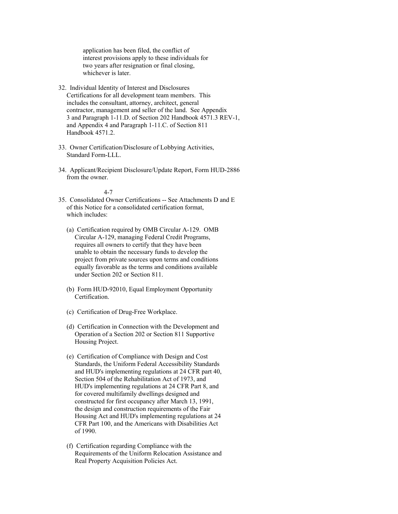application has been filed, the conflict of interest provisions apply to these individuals for two years after resignation or final closing, whichever is later.

- 32. Individual Identity of Interest and Disclosures Certifications for all development team members. This includes the consultant, attorney, architect, general contractor, management and seller of the land. See Appendix 3 and Paragraph 1-11.D. of Section 202 Handbook 4571.3 REV-1, and Appendix 4 and Paragraph 1-11.C. of Section 811 Handbook 4571.2.
- 33. Owner Certification/Disclosure of Lobbying Activities, Standard Form-LLL.
- 34. Applicant/Recipient Disclosure/Update Report, Form HUD-2886 from the owner.

- 35. Consolidated Owner Certifications -- See Attachments D and E of this Notice for a consolidated certification format, which includes:
	- (a) Certification required by OMB Circular A-129. OMB Circular A-129, managing Federal Credit Programs, requires all owners to certify that they have been unable to obtain the necessary funds to develop the project from private sources upon terms and conditions equally favorable as the terms and conditions available under Section 202 or Section 811.
	- (b) Form HUD-92010, Equal Employment Opportunity Certification.
	- (c) Certification of Drug-Free Workplace.
	- (d) Certification in Connection with the Development and Operation of a Section 202 or Section 811 Supportive Housing Project.
	- (e) Certification of Compliance with Design and Cost Standards, the Uniform Federal Accessibility Standards and HUD's implementing regulations at 24 CFR part 40, Section 504 of the Rehabilitation Act of 1973, and HUD's implementing regulations at 24 CFR Part 8, and for covered multifamily dwellings designed and constructed for first occupancy after March 13, 1991, the design and construction requirements of the Fair Housing Act and HUD's implementing regulations at 24 CFR Part 100, and the Americans with Disabilities Act of 1990.
	- (f) Certification regarding Compliance with the Requirements of the Uniform Relocation Assistance and Real Property Acquisition Policies Act.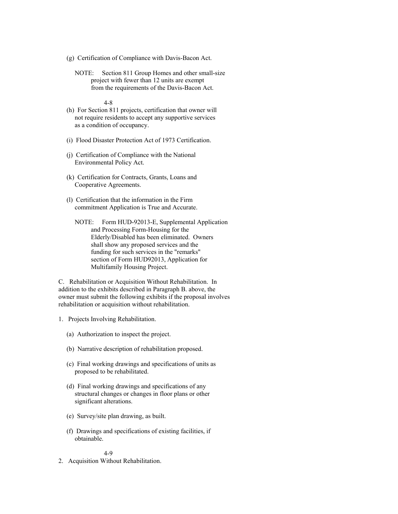- (g) Certification of Compliance with Davis-Bacon Act.
	- NOTE: Section 811 Group Homes and other small-size project with fewer than 12 units are exempt from the requirements of the Davis-Bacon Act.

4-8

- (h) For Section 811 projects, certification that owner will not require residents to accept any supportive services as a condition of occupancy.
- (i) Flood Disaster Protection Act of 1973 Certification.
- (j) Certification of Compliance with the National Environmental Policy Act.
- (k) Certification for Contracts, Grants, Loans and Cooperative Agreements.
- (l) Certification that the information in the Firm commitment Application is True and Accurate.
	- NOTE: Form HUD-92013-E, Supplemental Application and Processing Form-Housing for the Elderly/Disabled has been eliminated. Owners shall show any proposed services and the funding for such services in the "remarks" section of Form HUD92013, Application for Multifamily Housing Project.

C. Rehabilitation or Acquisition Without Rehabilitation. In addition to the exhibits described in Paragraph B. above, the owner must submit the following exhibits if the proposal involves rehabilitation or acquisition without rehabilitation.

- 1. Projects Involving Rehabilitation.
	- (a) Authorization to inspect the project.
	- (b) Narrative description of rehabilitation proposed.
	- (c) Final working drawings and specifications of units as proposed to be rehabilitated.
	- (d) Final working drawings and specifications of any structural changes or changes in floor plans or other significant alterations.
	- (e) Survey/site plan drawing, as built.
	- (f) Drawings and specifications of existing facilities, if obtainable.

4-9

2. Acquisition Without Rehabilitation.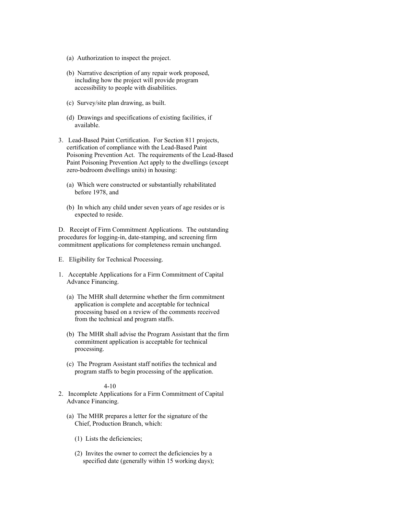- (a) Authorization to inspect the project.
- (b) Narrative description of any repair work proposed, including how the project will provide program accessibility to people with disabilities.
- (c) Survey/site plan drawing, as built.
- (d) Drawings and specifications of existing facilities, if available.
- 3. Lead-Based Paint Certification. For Section 811 projects, certification of compliance with the Lead-Based Paint Poisoning Prevention Act. The requirements of the Lead-Based Paint Poisoning Prevention Act apply to the dwellings (except zero-bedroom dwellings units) in housing:
	- (a) Which were constructed or substantially rehabilitated before 1978, and
	- (b) In which any child under seven years of age resides or is expected to reside.

D. Receipt of Firm Commitment Applications. The outstanding procedures for logging-in, date-stamping, and screening firm commitment applications for completeness remain unchanged.

- E. Eligibility for Technical Processing.
- 1. Acceptable Applications for a Firm Commitment of Capital Advance Financing.
	- (a) The MHR shall determine whether the firm commitment application is complete and acceptable for technical processing based on a review of the comments received from the technical and program staffs.
	- (b) The MHR shall advise the Program Assistant that the firm commitment application is acceptable for technical processing.
	- (c) The Program Assistant staff notifies the technical and program staffs to begin processing of the application.

- 2. Incomplete Applications for a Firm Commitment of Capital Advance Financing.
	- (a) The MHR prepares a letter for the signature of the Chief, Production Branch, which:
		- (1) Lists the deficiencies;
		- (2) Invites the owner to correct the deficiencies by a specified date (generally within 15 working days);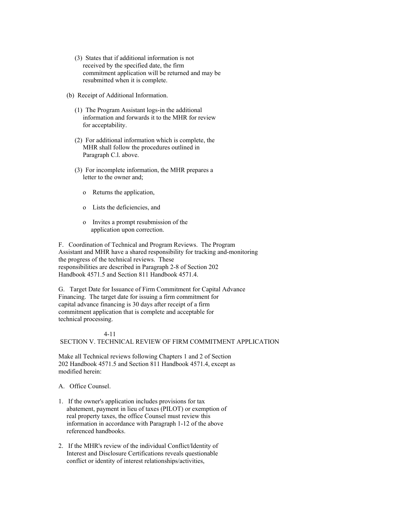- (3) States that if additional information is not received by the specified date, the firm commitment application will be returned and may be resubmitted when it is complete.
- (b) Receipt of Additional Information.
	- (1) The Program Assistant logs-in the additional information and forwards it to the MHR for review for acceptability.
	- (2) For additional information which is complete, the MHR shall follow the procedures outlined in Paragraph C.l. above.
	- (3) For incomplete information, the MHR prepares a letter to the owner and;
		- o Returns the application,
		- o Lists the deficiencies, and
		- o Invites a prompt resubmission of the application upon correction.

F. Coordination of Technical and Program Reviews. The Program Assistant and MHR have a shared responsibility for tracking and-monitoring the progress of the technical reviews. These responsibilities are described in Paragraph 2-8 of Section 202 Handbook 4571.5 and Section 811 Handbook 4571.4.

G. Target Date for Issuance of Firm Commitment for Capital Advance Financing. The target date for issuing a firm commitment for capital advance financing is 30 days after receipt of a firm commitment application that is complete and acceptable for technical processing.

# 4-11

# SECTION V. TECHNICAL REVIEW OF FIRM COMMITMENT APPLICATION

Make all Technical reviews following Chapters 1 and 2 of Section 202 Handbook 4571.5 and Section 811 Handbook 4571.4, except as modified herein:

A. Office Counsel.

- 1. If the owner's application includes provisions for tax abatement, payment in lieu of taxes (PILOT) or exemption of real property taxes, the office Counsel must review this information in accordance with Paragraph 1-12 of the above referenced handbooks.
- 2. If the MHR's review of the individual Conflict/Identity of Interest and Disclosure Certifications reveals questionable conflict or identity of interest relationships/activities,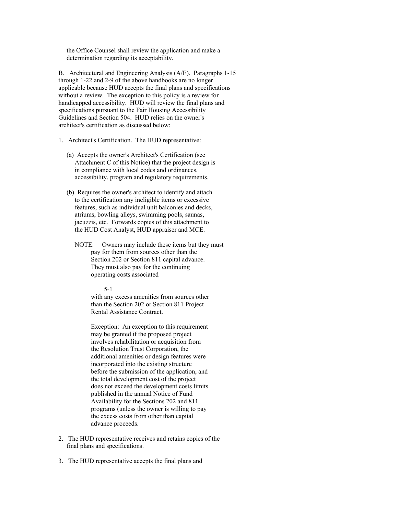the Office Counsel shall review the application and make a determination regarding its acceptability.

B. Architectural and Engineering Analysis (A/E). Paragraphs 1-15 through 1-22 and 2-9 of the above handbooks are no longer applicable because HUD accepts the final plans and specifications without a review. The exception to this policy is a review for handicapped accessibility. HUD will review the final plans and specifications pursuant to the Fair Housing Accessibility Guidelines and Section 504. HUD relies on the owner's architect's certification as discussed below:

1. Architect's Certification. The HUD representative:

- (a) Accepts the owner's Architect's Certification (see Attachment C of this Notice) that the project design is in compliance with local codes and ordinances, accessibility, program and regulatory requirements.
- (b) Requires the owner's architect to identify and attach to the certification any ineligible items or excessive features, such as individual unit balconies and decks, atriums, bowling alleys, swimming pools, saunas, jacuzzis, etc. Forwards copies of this attachment to the HUD Cost Analyst, HUD appraiser and MCE.

 NOTE: Owners may include these items but they must pay for them from sources other than the Section 202 or Section 811 capital advance. They must also pay for the continuing operating costs associated

5-1

 with any excess amenities from sources other than the Section 202 or Section 811 Project Rental Assistance Contract.

 Exception: An exception to this requirement may be granted if the proposed project involves rehabilitation or acquisition from the Resolution Trust Corporation, the additional amenities or design features were incorporated into the existing structure before the submission of the application, and the total development cost of the project does not exceed the development costs limits published in the annual Notice of Fund Availability for the Sections 202 and 811 programs (unless the owner is willing to pay the excess costs from other than capital advance proceeds.

- 2. The HUD representative receives and retains copies of the final plans and specifications.
- 3. The HUD representative accepts the final plans and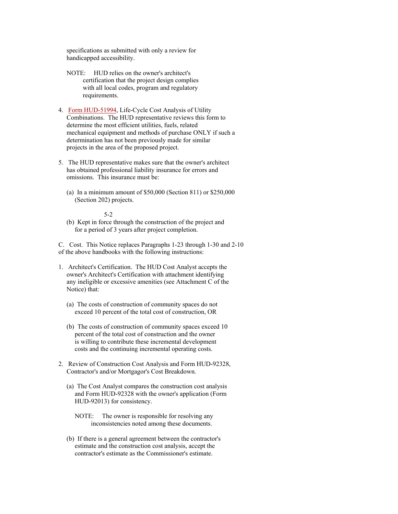specifications as submitted with only a review for handicapped accessibility.

- NOTE: HUD relies on the owner's architect's certification that the project design complies with all local codes, program and regulatory requirements.
- 4. Form HUD-51994, Life-Cycle Cost Analysis of Utility Combinations. The HUD representative reviews this form to determine the most efficient utilities, fuels, related mechanical equipment and methods of purchase ONLY if such a determination has not been previously made for similar projects in the area of the proposed project.
- 5. The HUD representative makes sure that the owner's architect has obtained professional liability insurance for errors and omissions. This insurance must be:
	- (a) In a minimum amount of \$50,000 (Section 811) or \$250,000 (Section 202) projects.

5-2

 (b) Kept in force through the construction of the project and for a period of 3 years after project completion.

C. Cost. This Notice replaces Paragraphs 1-23 through 1-30 and 2-10 of the above handbooks with the following instructions:

- 1. Architect's Certification. The HUD Cost Analyst accepts the owner's Architect's Certification with attachment identifying any ineligible or excessive amenities (see Attachment C of the Notice) that:
	- (a) The costs of construction of community spaces do not exceed 10 percent of the total cost of construction, OR
	- (b) The costs of construction of community spaces exceed 10 percent of the total cost of construction and the owner is willing to contribute these incremental development costs and the continuing incremental operating costs.
- 2. Review of Construction Cost Analysis and Form HUD-92328, Contractor's and/or Mortgagor's Cost Breakdown.
	- (a) The Cost Analyst compares the construction cost analysis and Form HUD-92328 with the owner's application (Form HUD-92013) for consistency.
		- NOTE: The owner is responsible for resolving any inconsistencies noted among these documents.
	- (b) If there is a general agreement between the contractor's estimate and the construction cost analysis, accept the contractor's estimate as the Commissioner's estimate.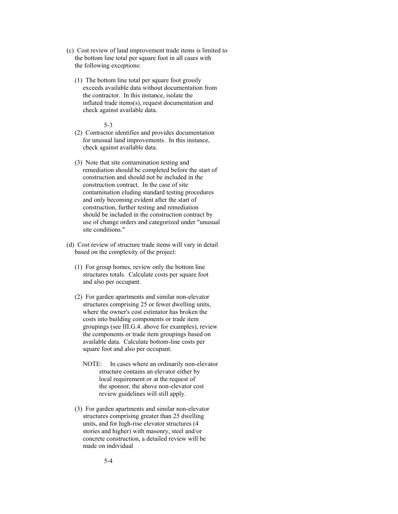- (c) Cost review of land improvement trade items is limited to the bottom line total per square foot in all cases with the following exceptions:
	- (1) The bottom line total per square foot grossly exceeds available data without documentation from the contractor. In this instance, isolate the inflated trade items(s), request documentation and check against available data.

- (2) Contractor identifies and provides documentation for unusual land improvements. In this instance, check against available data.
- (3) Note that site contamination testing and remediation should be completed before the start of construction and should not be included in the construction contract. In the case of site contamination eluding standard testing procedures and only becoming evident after the start of construction, further testing and remediation should be included in the construction contract by use of change orders and categorized under "unusual site conditions."
- (d) Cost review of structure trade items will vary in detail based on the complexity of the project:
	- (1) For group homes, review only the bottom line structures totals. Calculate costs per square foot and also per occupant.
	- (2) For garden apartments and similar non-elevator structures comprising 25 or fewer dwelling units, where the owner's cost estimator has broken the costs into building components or trade item groupings (see III.G.4. above for examples), review the components or trade item groupings based on available data. Calculate bottom-line costs per square foot and also per occupant.
		- NOTE: In cases where an ordinarily non-elevator structure contains an elevator either by local requirement or at the request of the sponsor, the above non-elevator cost review guidelines will still apply.
	- (3) For garden apartments and similar non-elevator structures comprising greater than 25 dwelling units, and for high-rise elevator structures (4 stories and higher) with masonry, steel and/or concrete construction, a detailed review will be made on individual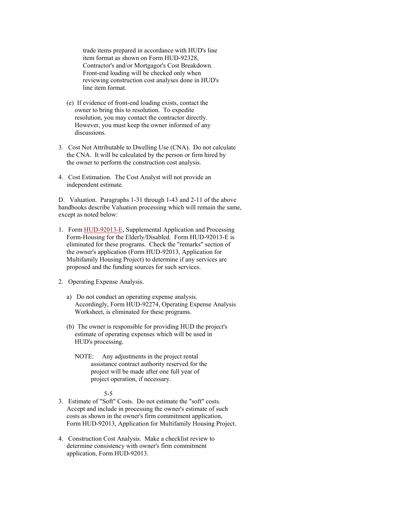trade items prepared in accordance with HUD's line item format as shown on Form HUD-92328, Contractor's and/or Mortgagor's Cost Breakdown. Front-end loading will be checked only when reviewing construction cost analyses done in HUD's line item format.

- (e) If evidence of front-end loading exists, contact the owner to bring this to resolution. To expedite resolution, you may contact the contractor directly. However, you must keep the owner informed of any discussions.
- 3. Cost Not Attributable to Dwelling Use (CNA). Do not calculate the CNA. It will be calculated by the person or firm hired by the owner to perform the construction cost analysis.
- 4. Cost Estimation. The Cost Analyst will not provide an independent estimate.

D. Valuation. Paragraphs 1-31 through 1-43 and 2-11 of the above handbooks describe Valuation processing which will remain the same, except as noted below:

- 1. Form HUD-92013-E, Supplemental Application and Processing Form-Housing for the Elderly/Disabled. Form HUD-92013-E is eliminated for these programs. Check the "remarks" section of the owner's application (Form HUD-92013, Application for Multifamily Housing Project) to determine if any services are proposed and the funding sources for such services.
- 2. Operating Expense Analysis.
	- a) Do not conduct an operating expense analysis. Accordingly, Form HUD-92274, Operating Expense Analysis Worksheet, is eliminated for these programs.
	- (b) The owner is responsible for providing HUD the project's estimate of operating expenses which will be used in HUD's processing.
		- NOTE: Any adjustments in the project rental assistance contract authority reserved for the project will be made after one full year of project operation, if necessary.

- 3. Estimate of "Soft" Costs. Do not estimate the "soft" costs. Accept and include in processing the owner's estimate of such costs as shown in the owner's firm commitment application, Form HUD-92013, Application for Multifamily Housing Project.
- 4. Construction Cost Analysis. Make a checklist review to determine consistency with owner's firm commitment application, Form HUD-92013.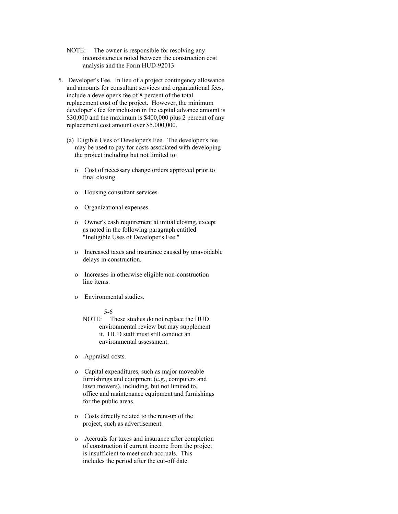- NOTE: The owner is responsible for resolving any inconsistencies noted between the construction cost analysis and the Form HUD-92013.
- 5. Developer's Fee. In lieu of a project contingency allowance and amounts for consultant services and organizational fees, include a developer's fee of 8 percent of the total replacement cost of the project. However, the minimum developer's fee for inclusion in the capital advance amount is \$30,000 and the maximum is \$400,000 plus 2 percent of any replacement cost amount over \$5,000,000.
	- (a) Eligible Uses of Developer's Fee. The developer's fee may be used to pay for costs associated with developing the project including but not limited to:
		- o Cost of necessary change orders approved prior to final closing.
		- o Housing consultant services.
		- o Organizational expenses.
		- o Owner's cash requirement at initial closing, except as noted in the following paragraph entitled "Ineligible Uses of Developer's Fee."
		- o Increased taxes and insurance caused by unavoidable delays in construction.
		- o Increases in otherwise eligible non-construction line items.
		- o Environmental studies.

5-6

 NOTE: These studies do not replace the HUD environmental review but may supplement it. HUD staff must still conduct an environmental assessment.

- o Appraisal costs.
- o Capital expenditures, such as major moveable furnishings and equipment (e.g., computers and lawn mowers), including, but not limited to, office and maintenance equipment and furnishings for the public areas.
- o Costs directly related to the rent-up of the project, such as advertisement.
- o Accruals for taxes and insurance after completion of construction if current income from the project is insufficient to meet such accruals. This includes the period after the cut-off date.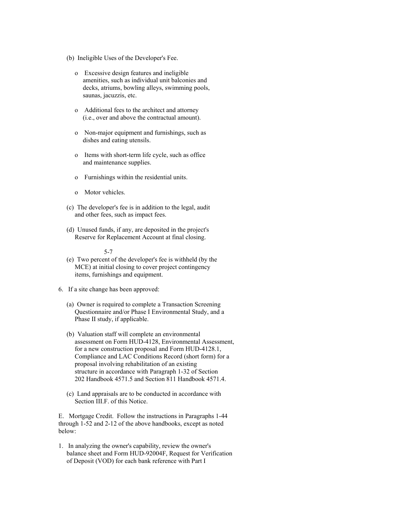- (b) Ineligible Uses of the Developer's Fee.
	- o Excessive design features and ineligible amenities, such as individual unit balconies and decks, atriums, bowling alleys, swimming pools, saunas, jacuzzis, etc.
	- o Additional fees to the architect and attorney (i.e., over and above the contractual amount).
	- o Non-major equipment and furnishings, such as dishes and eating utensils.
	- o Items with short-term life cycle, such as office and maintenance supplies.
	- o Furnishings within the residential units.
	- o Motor vehicles.
- (c) The developer's fee is in addition to the legal, audit and other fees, such as impact fees.
- (d) Unused funds, if any, are deposited in the project's Reserve for Replacement Account at final closing.

5-7

 (e) Two percent of the developer's fee is withheld (by the MCE) at initial closing to cover project contingency items, furnishings and equipment.

6. If a site change has been approved:

- (a) Owner is required to complete a Transaction Screening Questionnaire and/or Phase I Environmental Study, and a Phase II study, if applicable.
- (b) Valuation staff will complete an environmental assessment on Form HUD-4128, Environmental Assessment, for a new construction proposal and Form HUD-4128.1, Compliance and LAC Conditions Record (short form) for a proposal involving rehabilitation of an existing structure in accordance with Paragraph 1-32 of Section 202 Handbook 4571.5 and Section 811 Handbook 4571.4.
- (c) Land appraisals are to be conducted in accordance with Section III.F. of this Notice.

E. Mortgage Credit. Follow the instructions in Paragraphs 1-44 through 1-52 and 2-12 of the above handbooks, except as noted below:

1. In analyzing the owner's capability, review the owner's balance sheet and Form HUD-92004F, Request for Verification of Deposit (VOD) for each bank reference with Part I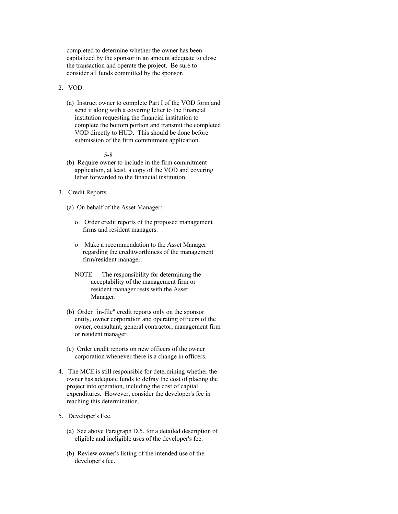completed to determine whether the owner has been capitalized by the sponsor in an amount adequate to close the transaction and operate the project. Be sure to consider all funds committed by the sponsor.

2. VOD.

 (a) Instruct owner to complete Part I of the VOD form and send it along with a covering letter to the financial institution requesting the financial institution to complete the bottom portion and transmit the completed VOD directly to HUD. This should be done before submission of the firm commitment application.

- (b) Require owner to include in the firm commitment application, at least, a copy of the VOD and covering letter forwarded to the financial institution.
- 3. Credit Reports.
	- (a) On behalf of the Asset Manager:
		- o Order credit reports of the proposed management firms and resident managers.
		- o Make a recommendation to the Asset Manager regarding the creditworthiness of the management firm/resident manager.
		- NOTE: The responsibility for determining the acceptability of the management firm or resident manager rests with the Asset Manager.
	- (b) Order "in-file" credit reports only on the sponsor entity, owner corporation and operating officers of the owner, consultant, general contractor, management firm or resident manager.
	- (c) Order credit reports on new officers of the owner corporation whenever there is a change in officers.
- 4. The MCE is still responsible for determining whether the owner has adequate funds to defray the cost of placing the project into operation, including the cost of capital expenditures. However, consider the developer's fee in reaching this determination.
- 5. Developer's Fee.
	- (a) See above Paragraph D.5. for a detailed description of eligible and ineligible uses of the developer's fee.
	- (b) Review owner's listing of the intended use of the developer's fee.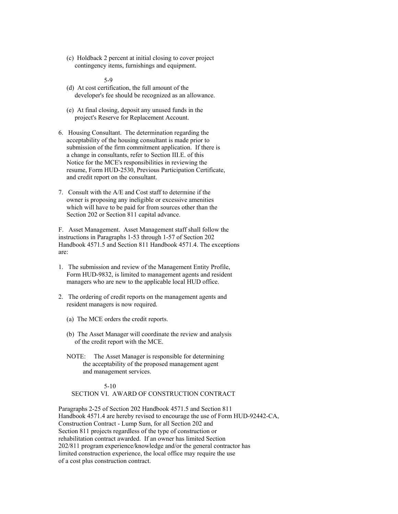(c) Holdback 2 percent at initial closing to cover project contingency items, furnishings and equipment.

5-9

- (d) At cost certification, the full amount of the developer's fee should be recognized as an allowance.
- (e) At final closing, deposit any unused funds in the project's Reserve for Replacement Account.
- 6. Housing Consultant. The determination regarding the acceptability of the housing consultant is made prior to submission of the firm commitment application. If there is a change in consultants, refer to Section III.E. of this Notice for the MCE's responsibilities in reviewing the resume, Form HUD-2530, Previous Participation Certificate, and credit report on the consultant.
- 7. Consult with the A/E and Cost staff to determine if the owner is proposing any ineligible or excessive amenities which will have to be paid for from sources other than the Section 202 or Section 811 capital advance.

F. Asset Management. Asset Management staff shall follow the instructions in Paragraphs 1-53 through 1-57 of Section 202 Handbook 4571.5 and Section 811 Handbook 4571.4. The exceptions are:

- 1. The submission and review of the Management Entity Profile, Form HUD-9832, is limited to management agents and resident managers who are new to the applicable local HUD office.
- 2. The ordering of credit reports on the management agents and resident managers is now required.
	- (a) The MCE orders the credit reports.
	- (b) The Asset Manager will coordinate the review and analysis of the credit report with the MCE.
	- NOTE: The Asset Manager is responsible for determining the acceptability of the proposed management agent and management services.

### 5-10 SECTION VI. AWARD OF CONSTRUCTION CONTRACT

Paragraphs 2-25 of Section 202 Handbook 4571.5 and Section 811 Handbook 4571.4 are hereby revised to encourage the use of Form HUD-92442-CA, Construction Contract - Lump Sum, for all Section 202 and Section 811 projects regardless of the type of construction or rehabilitation contract awarded. If an owner has limited Section 202/811 program experience/knowledge and/or the general contractor has limited construction experience, the local office may require the use of a cost plus construction contract.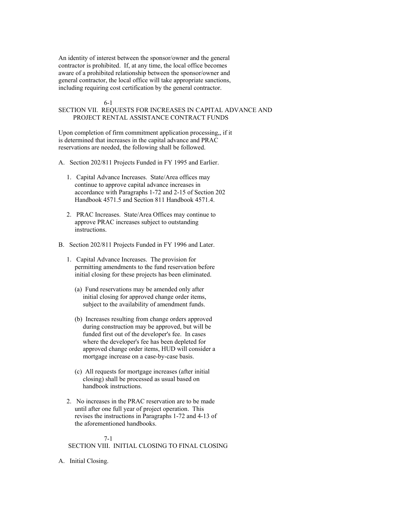An identity of interest between the sponsor/owner and the general contractor is prohibited. If, at any time, the local office becomes aware of a prohibited relationship between the sponsor/owner and general contractor, the local office will take appropriate sanctions, including requiring cost certification by the general contractor.

# 6-1

# SECTION VII. REQUESTS FOR INCREASES IN CAPITAL ADVANCE AND PROJECT RENTAL ASSISTANCE CONTRACT FUNDS

Upon completion of firm commitment application processing,, if it is determined that increases in the capital advance and PRAC reservations are needed, the following shall be followed.

- A. Section 202/811 Projects Funded in FY 1995 and Earlier.
	- 1. Capital Advance Increases. State/Area offices may continue to approve capital advance increases in accordance with Paragraphs 1-72 and 2-15 of Section 202 Handbook 4571.5 and Section 811 Handbook 4571.4.
	- 2. PRAC Increases. State/Area Offices may continue to approve PRAC increases subject to outstanding instructions.
- B. Section 202/811 Projects Funded in FY 1996 and Later.
	- 1. Capital Advance Increases. The provision for permitting amendments to the fund reservation before initial closing for these projects has been eliminated.
		- (a) Fund reservations may be amended only after initial closing for approved change order items, subject to the availability of amendment funds.
		- (b) Increases resulting from change orders approved during construction may be approved, but will be funded first out of the developer's fee. In cases where the developer's fee has been depleted for approved change order items, HUD will consider a mortgage increase on a case-by-case basis.
		- (c) All requests for mortgage increases (after initial closing) shall be processed as usual based on handbook instructions.
	- 2. No increases in the PRAC reservation are to be made until after one full year of project operation. This revises the instructions in Paragraphs 1-72 and 4-13 of the aforementioned handbooks.

# 7-1

SECTION VIII. INITIAL CLOSING TO FINAL CLOSING

A. Initial Closing.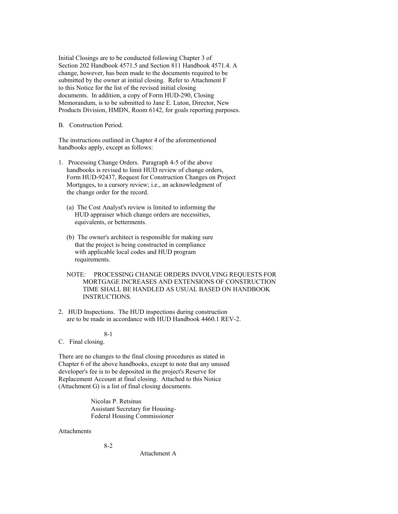Initial Closings are to be conducted following Chapter 3 of Section 202 Handbook 4571.5 and Section 811 Handbook 4571.4. A change, however, has been made to the documents required to be submitted by the owner at initial closing. Refer to Attachment F to this Notice for the list of the revised initial closing documents. In addition, a copy of Form HUD-290, Closing Memorandum, is to be submitted to Jane E. Luton, Director, New Products Division, HMDN, Room 6142, for goals reporting purposes.

B. Construction Period.

The instructions outlined in Chapter 4 of the aforementioned handbooks apply, except as follows:

- 1. Processing Change Orders. Paragraph 4-5 of the above handbooks is revised to limit HUD review of change orders, Form HUD-92437, Request for Construction Changes on Project Mortgages, to a cursory review; i.e., an acknowledgment of the change order for the record.
	- (a) The Cost Analyst's review is limited to informing the HUD appraiser which change orders are necessities, equivalents, or betterments.
	- (b) The owner's architect is responsible for making sure that the project is being constructed in compliance with applicable local codes and HUD program requirements.
	- NOTE: PROCESSING CHANGE ORDERS INVOLVING REQUESTS FOR MORTGAGE INCREASES AND EXTENSIONS OF CONSTRUCTION TIME SHALL BE HANDLED AS USUAL BASED ON HANDBOOK INSTRUCTIONS.
- 2. HUD Inspections. The HUD inspections during construction are to be made in accordance with HUD Handbook 4460.1 REV-2.

# 8-1

C. Final closing.

There are no changes to the final closing procedures as stated in Chapter 6 of the above handbooks, except to note that any unused developer's fee is to be deposited in the project's Reserve for Replacement Account at final closing. Attached to this Notice (Attachment G) is a list of final closing documents.

> Nicolas P. Retsinas Assistant Secretary for Housing- Federal Housing Commissioner

Attachments

8-2

Attachment A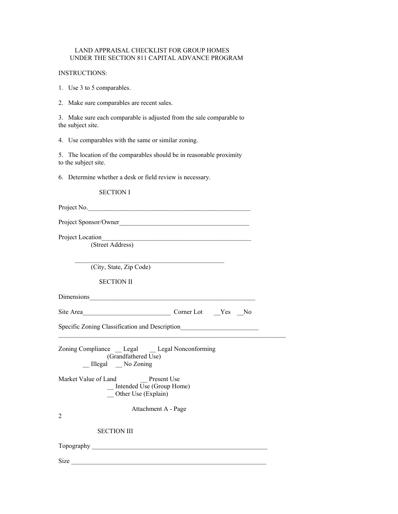# LAND APPRAISAL CHECKLIST FOR GROUP HOMES UNDER THE SECTION 811 CAPITAL ADVANCE PROGRAM

# INSTRUCTIONS:

1. Use 3 to 5 comparables.

2. Make sure comparables are recent sales.

3. Make sure each comparable is adjusted from the sale comparable to the subject site.

4. Use comparables with the same or similar zoning.

5. The location of the comparables should be in reasonable proximity to the subject site.

6. Determine whether a desk or field review is necessary.

SECTION I

| Project No.                                                              |
|--------------------------------------------------------------------------|
| Project Sponsor/Owner                                                    |
| Project Location                                                         |
| (Street Address)                                                         |
| (City, State, Zip Code)                                                  |
| <b>SECTION II</b>                                                        |
| Dimensions                                                               |
| Site Area<br>Corner Lot Yes<br>N <sub>0</sub>                            |
| Specific Zoning Classification and Description                           |
| Zoning Compliance __ Legal __ Legal Nonconforming<br>(Grandfathered Use) |

Attachment A - Page

\_\_ Illegal \_\_ No Zoning

Market Value of Land Present Use  $\overline{\text{Untended Use (Group Home)}}$ \_\_ Other Use (Explain)

SECTION III

Topography \_\_\_\_\_\_\_\_\_\_\_\_\_\_\_\_\_\_\_\_\_\_\_\_\_\_\_\_\_\_\_\_\_\_\_\_\_\_\_\_\_\_\_\_\_\_\_\_\_\_\_\_\_\_

 $Size$ 

2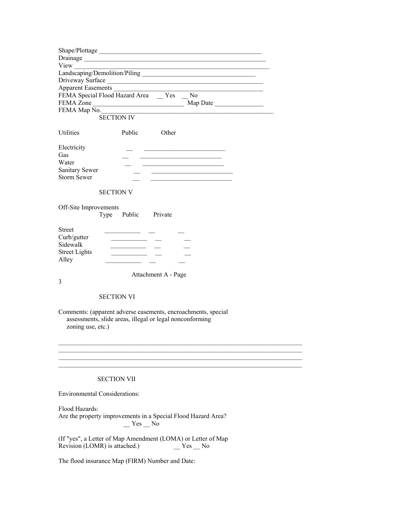|                         | Drainage                                                                                                                  |
|-------------------------|---------------------------------------------------------------------------------------------------------------------------|
|                         |                                                                                                                           |
|                         |                                                                                                                           |
|                         | Driveway Surface<br>Apparent Easements                                                                                    |
|                         | FEMA Special Flood Hazard Area __ Yes __ No                                                                               |
|                         |                                                                                                                           |
|                         |                                                                                                                           |
|                         | <b>SECTION IV</b>                                                                                                         |
| Utilities               | Public<br>Other                                                                                                           |
| Electricity             | <u> 2002 - John Stone, Amerikaansk politiker (</u>                                                                        |
| Gas                     |                                                                                                                           |
| Water                   | the control of the control of the control of the control of the control of                                                |
| <b>Sanitary Sewer</b>   | <u> 2002 - Johann John Stein, mars an deutscher Stein und der Stein und der Stein und der Stein und der Stein und</u>     |
| <b>Storm Sewer</b>      |                                                                                                                           |
|                         | <b>SECTION V</b>                                                                                                          |
| Off-Site Improvements   |                                                                                                                           |
|                         | Type<br>Public Private                                                                                                    |
|                         |                                                                                                                           |
| <b>Street</b>           | <u> 1990 - John Harry Harry Harry Harry</u>                                                                               |
| Curb/gutter<br>Sidewalk |                                                                                                                           |
| <b>Street Lights</b>    |                                                                                                                           |
| Alley                   |                                                                                                                           |
|                         |                                                                                                                           |
|                         | Attachment A - Page                                                                                                       |
|                         |                                                                                                                           |
| 3                       |                                                                                                                           |
|                         |                                                                                                                           |
|                         | <b>SECTION VI</b>                                                                                                         |
| zoning use, etc.)       | Comments: (apparent adverse easements, encroachments, special<br>assessments, slide areas, illegal or legal nonconforming |
|                         |                                                                                                                           |
|                         |                                                                                                                           |
|                         |                                                                                                                           |
|                         |                                                                                                                           |
|                         | <b>SECTION VII</b>                                                                                                        |
|                         | <b>Environmental Considerations:</b>                                                                                      |
| Flood Hazards:          | Are the property improvements in a Special Flood Hazard Area?                                                             |
|                         | $Yes$ No                                                                                                                  |
|                         | (If "yes", a Letter of Map Amendment (LOMA) or Letter of Map<br>Revision (LOMR) is attached.)<br>Yes No                   |
|                         | The flood insurance Map (FIRM) Number and Date:                                                                           |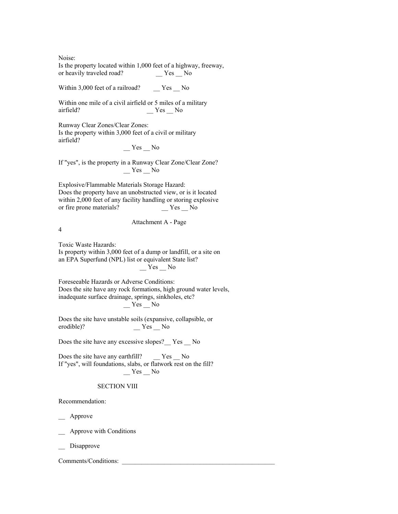Noise: Is the property located within 1,000 feet of a highway, freeway, or heavily traveled road?

Within 3,000 feet of a railroad? \_\_ Yes \_ No

Within one mile of a civil airfield or 5 miles of a military airfield? \_\_ Yes \_\_ No

Runway Clear Zones/Clear Zones: Is the property within 3,000 feet of a civil or military airfield?

 $Yes$  No

If "yes", is the property in a Runway Clear Zone/Clear Zone?  $Y$ es  $N$ o

Explosive/Flammable Materials Storage Hazard: Does the property have an unobstructed view, or is it located within 2,000 feet of any facility handling or storing explosive or fire prone materials?

4

# Attachment A - Page

Toxic Waste Hazards: Is property within 3,000 feet of a dump or landfill, or a site on an EPA Superfund (NPL) list or equivalent State list?  $Y$ es  $N$ o

Foreseeable Hazards or Adverse Conditions: Does the site have any rock formations, high ground water levels, inadequate surface drainage, springs, sinkholes, etc?  $Yes$ <sup>No</sup>

Does the site have unstable soils (expansive, collapsible, or erodible)? \_\_ Yes \_\_ No

Does the site have any excessive slopes?\_\_ Yes \_\_ No

Does the site have any earthfill? \_\_ Yes \_ No If "yes", will foundations, slabs, or flatwork rest on the fill?  $Y$ es  $\_\,$  No

### SECTION VIII

Recommendation:

\_\_ Approve

\_\_ Approve with Conditions

Disapprove

Comments/Conditions: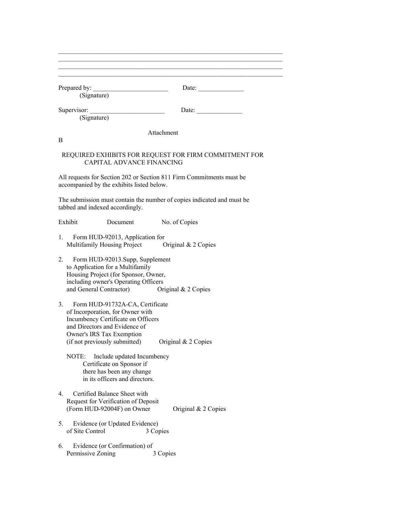| (Signature)                                                                                                                                                                               | Date: $\frac{1}{\sqrt{1-\frac{1}{2}} \cdot \frac{1}{2}}$                           |
|-------------------------------------------------------------------------------------------------------------------------------------------------------------------------------------------|------------------------------------------------------------------------------------|
| Supervisor:<br>(Signature)                                                                                                                                                                | Date: $\qquad \qquad$                                                              |
| B                                                                                                                                                                                         | Attachment                                                                         |
|                                                                                                                                                                                           | REQUIRED EXHIBITS FOR REQUEST FOR FIRM COMMITMENT FOR<br>CAPITAL ADVANCE FINANCING |
| accompanied by the exhibits listed below.                                                                                                                                                 | All requests for Section 202 or Section 811 Firm Commitments must be               |
| tabbed and indexed accordingly.                                                                                                                                                           | The submission must contain the number of copies indicated and must be             |
| Exhibit                                                                                                                                                                                   | Document<br>No. of Copies                                                          |
| 1.<br>Form HUD-92013, Application for                                                                                                                                                     | Multifamily Housing Project Original & 2 Copies                                    |
| 2.<br>Form HUD-92013.Supp, Supplement<br>to Application for a Multifamily<br>Housing Project (for Sponsor, Owner,<br>including owner's Operating Officers<br>and General Contractor)      | Original $& 2$ Copies                                                              |
| 3 <sub>1</sub><br>Form HUD-91732A-CA, Certificate<br>of Incorporation, for Owner with<br>Incumbency Certificate on Officers<br>and Directors and Evidence of<br>Owner's IRS Tax Exemption | (if not previously submitted) Original $& 2$ Copies                                |
| NOTE:<br>Certificate on Sponsor if<br>there has been any change<br>in its officers and directors.                                                                                         | Include updated Incumbency                                                         |
| Certified Balance Sheet with<br>4.<br>Request for Verification of Deposit<br>(Form HUD-92004F) on Owner                                                                                   | Original & 2 Copies                                                                |
| Evidence (or Updated Evidence)<br>5.<br>of Site Control                                                                                                                                   | 3 Copies                                                                           |
| 6.<br>Evidence (or Confirmation) of<br>Permissive Zoning                                                                                                                                  | 3 Copies                                                                           |

 $\_$  , and the set of the set of the set of the set of the set of the set of the set of the set of the set of the set of the set of the set of the set of the set of the set of the set of the set of the set of the set of th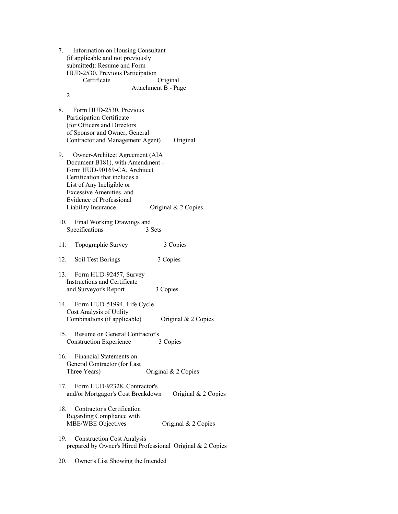| 7.  | Information on Housing Consultant<br>(if applicable and not previously<br>submitted): Resume and Form<br>HUD-2530, Previous Participation<br>Certificate<br>$\overline{2}$                                                                         | Original<br>Attachment B - Page                            |
|-----|----------------------------------------------------------------------------------------------------------------------------------------------------------------------------------------------------------------------------------------------------|------------------------------------------------------------|
| 8.  | Form HUD-2530, Previous<br>Participation Certificate<br>(for Officers and Directors<br>of Sponsor and Owner, General<br>Contractor and Management Agent)                                                                                           | Original                                                   |
|     | 9. Owner-Architect Agreement (AIA<br>Document B181), with Amendment -<br>Form HUD-90169-CA, Architect<br>Certification that includes a<br>List of Any Ineligible or<br>Excessive Amenities, and<br>Evidence of Professional<br>Liability Insurance | Original & 2 Copies                                        |
|     | Final Working Drawings and<br>10.<br>Specifications                                                                                                                                                                                                | 3 Sets                                                     |
| 11. | Topographic Survey                                                                                                                                                                                                                                 | 3 Copies                                                   |
|     | 12.<br>Soil Test Borings                                                                                                                                                                                                                           | 3 Copies                                                   |
| 13. | Form HUD-92457, Survey<br><b>Instructions and Certificate</b><br>and Surveyor's Report                                                                                                                                                             | 3 Copies                                                   |
|     | 14. Form HUD-51994, Life Cycle<br>Cost Analysis of Utility<br>Combinations (if applicable)                                                                                                                                                         | Original & 2 Copies                                        |
|     | 15. Resume on General Contractor's<br><b>Construction Experience</b>                                                                                                                                                                               | 3 Copies                                                   |
|     | Financial Statements on<br>16.<br>General Contractor (for Last<br>Three Years)                                                                                                                                                                     | Original & 2 Copies                                        |
|     | 17.<br>Form HUD-92328, Contractor's<br>and/or Mortgagor's Cost Breakdown                                                                                                                                                                           | Original & 2 Copies                                        |
|     | Contractor's Certification<br>18.<br>Regarding Compliance with<br>MBE/WBE Objectives                                                                                                                                                               | Original & 2 Copies                                        |
| 19. | <b>Construction Cost Analysis</b>                                                                                                                                                                                                                  | prepared by Owner's Hired Professional Original & 2 Copies |

20. Owner's List Showing the Intended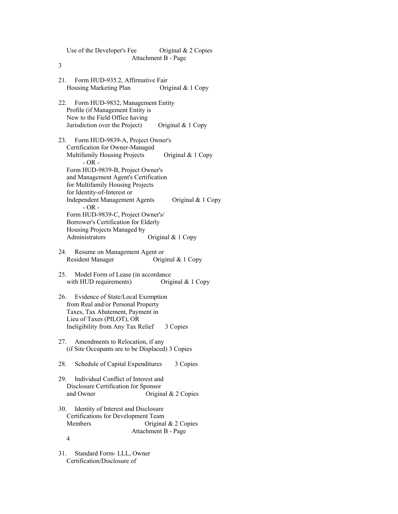| Original & 2 Copies<br>Use of the Developer's Fee                                     |
|---------------------------------------------------------------------------------------|
| Attachment B - Page<br>3                                                              |
|                                                                                       |
| 21.<br>Form HUD-935.2, Affirmative Fair                                               |
| Housing Marketing Plan<br>Original & 1 Copy                                           |
| Form HUD-9832, Management Entity<br>22.                                               |
| Profile (if Management Entity is                                                      |
| New to the Field Office having<br>Jurisdiction over the Project)<br>Original & 1 Copy |
|                                                                                       |
| Form HUD-9839-A, Project Owner's<br>23.                                               |
| Certification for Owner-Managed<br>Multifamily Housing Projects<br>Original & 1 Copy  |
| $-OR -$                                                                               |
| Form HUD-9839-B, Project Owner's                                                      |
| and Management Agent's Certification<br>for Multifamily Housing Projects              |
| for Identity-of-Interest or                                                           |
| <b>Independent Management Agents</b><br>Original $& 1$ Copy                           |
| $-OR -$<br>Form HUD-9839-C, Project Owner's/                                          |
| Borrower's Certification for Elderly                                                  |
| Housing Projects Managed by                                                           |
| Original & 1 Copy<br>Administrators                                                   |
| Resume on Management Agent or<br>24.                                                  |
| <b>Resident Manager</b><br>Original & 1 Copy                                          |
| 25. Model Form of Lease (in accordance                                                |
| with HUD requirements)<br>Original & 1 Copy                                           |
|                                                                                       |
| 26. Evidence of State/Local Exemption<br>from Real and/or Personal Property           |
| Taxes, Tax Abatement, Payment in                                                      |
| Lieu of Taxes (PILOT), OR                                                             |
| Ineligibility from Any Tax Relief<br>3 Copies                                         |
| 27.<br>Amendments to Relocation, if any                                               |
| (if Site Occupants are to be Displaced) 3 Copies                                      |
| Schedule of Capital Expenditures<br>28.<br>3 Copies                                   |
|                                                                                       |
| Individual Conflict of Interest and<br>29.                                            |
| Disclosure Certification for Sponsor<br>and Owner<br>Original $& 2$ Copies            |
|                                                                                       |
| 30.<br>Identity of Interest and Disclosure                                            |
| Certifications for Development Team<br>Original & 2 Copies<br>Members                 |
| Attachment B - Page                                                                   |
| 4                                                                                     |
| 31.<br>Standard Form-LLL, Owner                                                       |
| Certification/Disclosure of                                                           |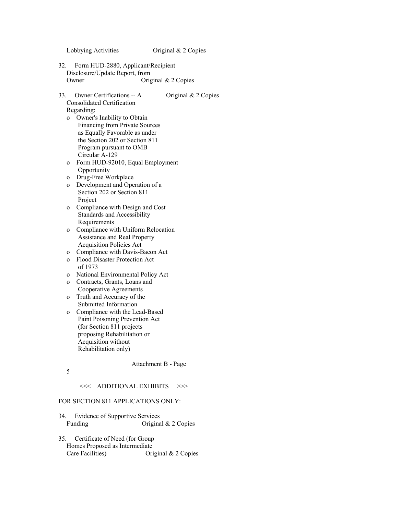# Lobbying Activities Original & 2 Copies

- 32. Form HUD-2880, Applicant/Recipient Disclosure/Update Report, from Owner Original & 2 Copies
- 33. Owner Certifications -- A Original & 2 Copies Consolidated Certification Regarding:
	- o Owner's Inability to Obtain Financing from Private Sources as Equally Favorable as under the Section 202 or Section 811 Program pursuant to OMB Circular A-129
	- o Form HUD-92010, Equal Employment **Opportunity**
	- o Drug-Free Workplace
	- o Development and Operation of a Section 202 or Section 811 Project
	- o Compliance with Design and Cost Standards and Accessibility Requirements
	- o Compliance with Uniform Relocation Assistance and Real Property Acquisition Policies Act
	- o Compliance with Davis-Bacon Act
	- o Flood Disaster Protection Act of 1973
	- o National Environmental Policy Act
	- o Contracts, Grants, Loans and Cooperative Agreements
	- o Truth and Accuracy of the Submitted Information
	- o Compliance with the Lead-Based Paint Poisoning Prevention Act (for Section 811 projects proposing Rehabilitation or Acquisition without Rehabilitation only)

Attachment B - Page

5

# <<< ADDITIONAL EXHIBITS >>>

# FOR SECTION 811 APPLICATIONS ONLY:

- 34. Evidence of Supportive Services Funding Original & 2 Copies
- 35. Certificate of Need (for Group Homes Proposed as Intermediate Care Facilities) Original & 2 Copies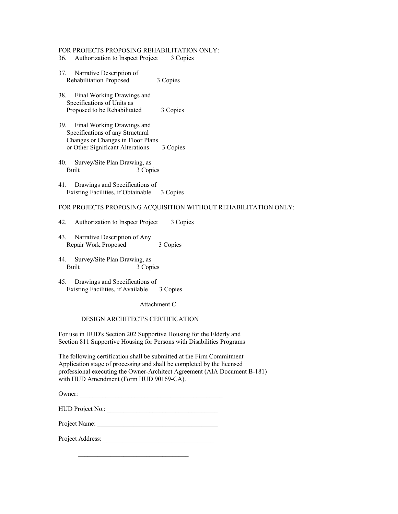### FOR PROJECTS PROPOSING REHABILITATION ONLY:

- 36. Authorization to Inspect Project 3 Copies
- 37. Narrative Description of Rehabilitation Proposed 3 Copies
- 38. Final Working Drawings and Specifications of Units as Proposed to be Rehabilitated 3 Copies
- 39. Final Working Drawings and Specifications of any Structural Changes or Changes in Floor Plans or Other Significant Alterations 3 Copies
- 40. Survey/Site Plan Drawing, as Built 3 Copies
- 41. Drawings and Specifications of Existing Facilities, if Obtainable 3 Copies

# FOR PROJECTS PROPOSING ACQUISITION WITHOUT REHABILITATION ONLY:

- 42. Authorization to Inspect Project 3 Copies
- 43. Narrative Description of Any Repair Work Proposed 3 Copies
- 44. Survey/Site Plan Drawing, as Built 3 Copies
- 45. Drawings and Specifications of Existing Facilities, if Available 3 Copies

Attachment C

#### DESIGN ARCHITECT'S CERTIFICATION

For use in HUD's Section 202 Supportive Housing for the Elderly and Section 811 Supportive Housing for Persons with Disabilities Programs

The following certification shall be submitted at the Firm Commitment Application stage of processing and shall be completed by the licensed professional executing the Owner-Architect Agreement (AIA Document B-181) with HUD Amendment (Form HUD 90169-CA).

Owner: \_\_\_\_\_\_\_\_\_\_\_\_\_\_\_\_\_\_\_\_\_\_\_\_\_\_\_\_\_\_\_\_\_\_\_\_\_\_\_\_\_\_\_\_

| HUD Project No.: |  |
|------------------|--|
|------------------|--|

Project Name: \_\_\_\_\_\_\_\_\_\_\_\_\_\_\_\_\_\_\_\_\_\_\_\_\_\_\_\_\_\_\_\_\_\_\_\_\_

Project Address: \_\_\_\_\_\_\_\_\_\_\_\_\_\_\_\_\_\_\_\_\_\_\_\_\_\_\_\_\_\_\_\_\_\_

 $\mathcal{L}_\text{max} = \frac{1}{2} \sum_{i=1}^{n} \frac{1}{2} \sum_{i=1}^{n} \frac{1}{2} \sum_{i=1}^{n} \frac{1}{2} \sum_{i=1}^{n} \frac{1}{2} \sum_{i=1}^{n} \frac{1}{2} \sum_{i=1}^{n} \frac{1}{2} \sum_{i=1}^{n} \frac{1}{2} \sum_{i=1}^{n} \frac{1}{2} \sum_{i=1}^{n} \frac{1}{2} \sum_{i=1}^{n} \frac{1}{2} \sum_{i=1}^{n} \frac{1}{2} \sum_{i=1}^{n} \frac{1$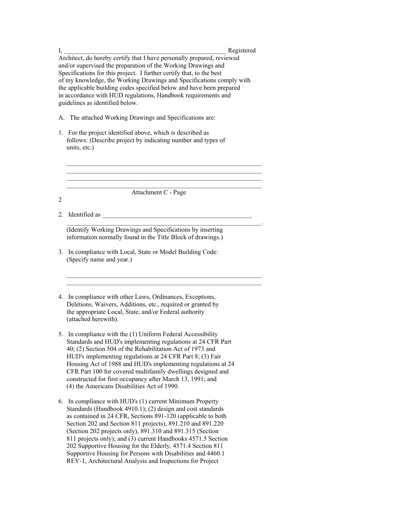| I, | Registered                                                                                                                                                                                                                                                                                                                                                                                                                                                                                                                                                                  |
|----|-----------------------------------------------------------------------------------------------------------------------------------------------------------------------------------------------------------------------------------------------------------------------------------------------------------------------------------------------------------------------------------------------------------------------------------------------------------------------------------------------------------------------------------------------------------------------------|
|    | Architect, do hereby certify that I have personally prepared, reviewed<br>and/or supervised the preparation of the Working Drawings and<br>Specifications for this project. I further certify that, to the best<br>of my knowledge, the Working Drawings and Specifications comply with<br>the applicable building codes specified below and have been prepared<br>in accordance with HUD regulations, Handbook requirements and<br>guidelines as identified below.                                                                                                         |
|    | A. The attached Working Drawings and Specifications are:                                                                                                                                                                                                                                                                                                                                                                                                                                                                                                                    |
|    | 1. For the project identified above, which is described as<br>follows: (Describe project by indicating number and types of<br>units, etc.)                                                                                                                                                                                                                                                                                                                                                                                                                                  |
|    |                                                                                                                                                                                                                                                                                                                                                                                                                                                                                                                                                                             |
| 2  | Attachment C - Page                                                                                                                                                                                                                                                                                                                                                                                                                                                                                                                                                         |
|    | 2. Identified as                                                                                                                                                                                                                                                                                                                                                                                                                                                                                                                                                            |
|    | (Identify Working Drawings and Specifications by inserting<br>information normally found in the Title Block of drawings.)                                                                                                                                                                                                                                                                                                                                                                                                                                                   |
|    | 3. In compliance with Local, State or Model Building Code:<br>(Specify name and year.)                                                                                                                                                                                                                                                                                                                                                                                                                                                                                      |
|    | 4. In compliance with other Laws, Ordinances, Exceptions,<br>Deletions, Waivers, Additions, etc., required or granted by<br>the appropriate Local, State, and/or Federal authority<br>(attached herewith).                                                                                                                                                                                                                                                                                                                                                                  |
|    | 5. In compliance with the (1) Uniform Federal Accessibility<br>Standards and HUD's implementing regulations at 24 CFR Part<br>40; (2) Section 504 of the Rehabilitation Act of 1973 and<br>HUD's implementing regulations at 24 CFR Part 8; (3) Fair<br>Housing Act of 1988 and HUD's implementing regulations at 24<br>CFR Part 100 for covered multifamily dwellings designed and<br>constructed for first occupancy after March 13, 1991; and<br>(4) the Americans Disabilities Act of 1990.                                                                             |
|    | 6. In compliance with HUD's (1) current Minimum Property<br>Standards (Handbook 4910.1); (2) design and cost standards<br>as contained in 24 CFR, Sections 891-120 (applicable to both<br>Section 202 and Section 811 projects), 891.210 and 891.220<br>(Section 202 projects only), 891.310 and 891.315 (Section<br>811 projects only); and (3) current Handbooks 4571.5 Section<br>202 Supportive Housing for the Elderly, 4571.4 Section 811<br>Supportive Housing for Persons with Disabilities and 4460.1<br>REV-1, Architectural Analysis and Inspections for Project |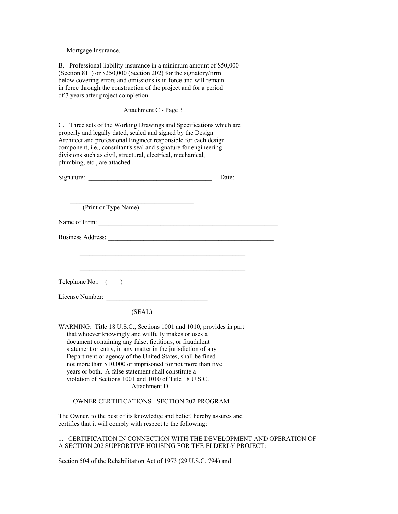Mortgage Insurance.

B. Professional liability insurance in a minimum amount of \$50,000 (Section 811) or \$250,000 (Section 202) for the signatory/firm below covering errors and omissions is in force and will remain in force through the construction of the project and for a period of 3 years after project completion.

Attachment C - Page 3

C. Three sets of the Working Drawings and Specifications which are properly and legally dated, sealed and signed by the Design Architect and professional Engineer responsible for each design component, i.e., consultant's seal and signature for engineering divisions such as civil, structural, electrical, mechanical, plumbing, etc., are attached.

|                                                                                                                                                                                                                                                                                                                                                                                                                                                                                                                     | Date: |
|---------------------------------------------------------------------------------------------------------------------------------------------------------------------------------------------------------------------------------------------------------------------------------------------------------------------------------------------------------------------------------------------------------------------------------------------------------------------------------------------------------------------|-------|
|                                                                                                                                                                                                                                                                                                                                                                                                                                                                                                                     |       |
| (Print or Type Name)                                                                                                                                                                                                                                                                                                                                                                                                                                                                                                |       |
|                                                                                                                                                                                                                                                                                                                                                                                                                                                                                                                     |       |
| Business Address:                                                                                                                                                                                                                                                                                                                                                                                                                                                                                                   |       |
|                                                                                                                                                                                                                                                                                                                                                                                                                                                                                                                     |       |
|                                                                                                                                                                                                                                                                                                                                                                                                                                                                                                                     |       |
|                                                                                                                                                                                                                                                                                                                                                                                                                                                                                                                     |       |
| License Number:                                                                                                                                                                                                                                                                                                                                                                                                                                                                                                     |       |
| (SEAL)                                                                                                                                                                                                                                                                                                                                                                                                                                                                                                              |       |
| WARNING: Title 18 U.S.C., Sections 1001 and 1010, provides in part<br>that whoever knowingly and willfully makes or uses a<br>document containing any false, fictitious, or fraudulent<br>statement or entry, in any matter in the jurisdiction of any<br>Department or agency of the United States, shall be fined<br>not more than \$10,000 or imprisoned for not more than five<br>years or both. A false statement shall constitute a<br>violation of Sections 1001 and 1010 of Title 18 U.S.C.<br>Attachment D |       |

OWNER CERTIFICATIONS - SECTION 202 PROGRAM

The Owner, to the best of its knowledge and belief, hereby assures and certifies that it will comply with respect to the following:

1. CERTIFICATION IN CONNECTION WITH THE DEVELOPMENT AND OPERATION OF A SECTION 202 SUPPORTIVE HOUSING FOR THE ELDERLY PROJECT:

Section 504 of the Rehabilitation Act of 1973 (29 U.S.C. 794) and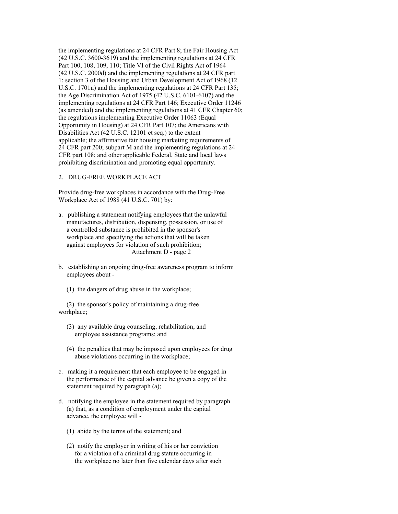the implementing regulations at 24 CFR Part 8; the Fair Housing Act (42 U.S.C. 3600-3619) and the implementing regulations at 24 CFR Part 100, 108, 109, 110; Title VI of the Civil Rights Act of 1964 (42 U.S.C. 2000d) and the implementing regulations at 24 CFR part 1; section 3 of the Housing and Urban Development Act of 1968 (12 U.S.C. 1701u) and the implementing regulations at 24 CFR Part 135; the Age Discrimination Act of 1975 (42 U.S.C. 6101-6107) and the implementing regulations at 24 CFR Part 146; Executive Order 11246 (as amended) and the implementing regulations at 41 CFR Chapter 60; the regulations implementing Executive Order 11063 (Equal Opportunity in Housing) at 24 CFR Part 107; the Americans with Disabilities Act (42 U.S.C. 12101 et seq.) to the extent applicable; the affirmative fair housing marketing requirements of 24 CFR part 200; subpart M and the implementing regulations at 24 CFR part 108; and other applicable Federal, State and local laws prohibiting discrimination and promoting equal opportunity.

# 2. DRUG-FREE WORKPLACE ACT

Provide drug-free workplaces in accordance with the Drug-Free Workplace Act of 1988 (41 U.S.C. 701) by:

- a. publishing a statement notifying employees that the unlawful manufactures, distribution, dispensing, possession, or use of a controlled substance is prohibited in the sponsor's workplace and specifying the actions that will be taken against employees for violation of such prohibition; Attachment D - page 2
- b. establishing an ongoing drug-free awareness program to inform employees about -
	- (1) the dangers of drug abuse in the workplace;

 (2) the sponsor's policy of maintaining a drug-free workplace;

- (3) any available drug counseling, rehabilitation, and employee assistance programs; and
- (4) the penalties that may be imposed upon employees for drug abuse violations occurring in the workplace;
- c. making it a requirement that each employee to be engaged in the performance of the capital advance be given a copy of the statement required by paragraph (a);
- d. notifying the employee in the statement required by paragraph (a) that, as a condition of employment under the capital advance, the employee will -
	- (1) abide by the terms of the statement; and
	- (2) notify the employer in writing of his or her conviction for a violation of a criminal drug statute occurring in the workplace no later than five calendar days after such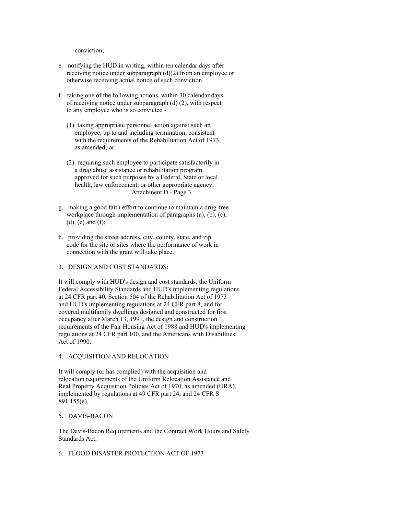conviction;

- e. notifying the HUD in writing, within ten calendar days after receiving notice under subparagraph (d)(2) from an employee or otherwise receiving actual notice of such conviction.
- f. taking one of the following actions, within 30 calendar days of receiving notice under subparagraph (d) (2), with respect to any employee who is so convicted -
	- (1) taking appropriate personnel action against such an employee, up to and including termination, consistent with the requirements of the Rehabilitation Act of 1973, as amended; or
	- (2) requiring such employee to participate satisfactorily in a drug abuse assistance or rehabilitation program approved for such purposes by a Federal, State or local health, law enforcement, or other appropriate agency; Attachment D - Page 3
- g. making a good faith effort to continue to maintain a drug-free workplace through implementation of paragraphs (a), (b), (c),  $(d)$ ,  $(e)$  and  $(f)$ ;
- h. providing the street address, city, county, state, and zip code for the site or sites where the performance of work in connection with the grant will take place.

### 3. DESIGN AND COST STANDARDS:

It will comply with HUD's design and cost standards, the Uniform Federal Accessibility Standards and HUD's implementing regulations at 24 CFR part 40, Section 504 of the Rehabilitation Act of 1973 and HUD's implementing regulations at 24 CFR part 8, and for covered multifamily dwellings designed and constructed for first occupancy after March 13, 1991, the design and construction requirements of the Fair Housing Act of 1988 and HUD's implementing regulations at 24 CFR part 100, and the Americans with Disabilities Act of 1990.

### 4. ACQUISITION AND RELOCATION

It will comply (or has complied) with the acquisition and relocation requirements of the Uniform Relocation Assistance and Real Property Acquisition Policies Act of 1970, as amended (URA), implemented by regulations at 49 CFR part 24, and 24 CFR S 891.155(e).

### 5. DAVIS-BACON

The Davis-Bacon Requirements and the Contract Work Hours and Safety Standards Act.

6. FLOOD DISASTER PROTECTION ACT OF 1973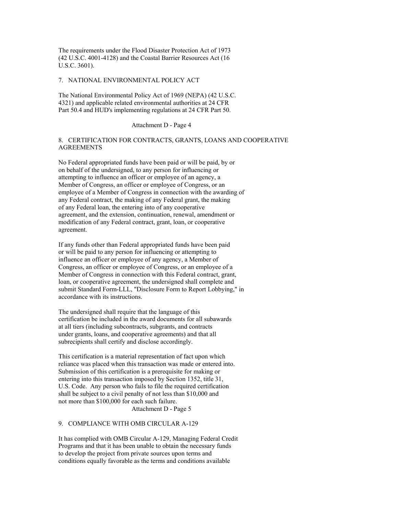The requirements under the Flood Disaster Protection Act of 1973 (42 U.S.C. 4001-4128) and the Coastal Barrier Resources Act (16 U.S.C. 3601).

#### 7. NATIONAL ENVIRONMENTAL POLICY ACT

The National Environmental Policy Act of 1969 (NEPA) (42 U.S.C. 4321) and applicable related environmental authorities at 24 CFR Part 50.4 and HUD's implementing regulations at 24 CFR Part 50.

Attachment D - Page 4

# 8. CERTIFICATION FOR CONTRACTS, GRANTS, LOANS AND COOPERATIVE AGREEMENTS

No Federal appropriated funds have been paid or will be paid, by or on behalf of the undersigned, to any person for influencing or attempting to influence an officer or employee of an agency, a Member of Congress, an officer or employee of Congress, or an employee of a Member of Congress in connection with the awarding of any Federal contract, the making of any Federal grant, the making of any Federal loan, the entering into of any cooperative agreement, and the extension, continuation, renewal, amendment or modification of any Federal contract, grant, loan, or cooperative agreement.

If any funds other than Federal appropriated funds have been paid or will be paid to any person for influencing or attempting to influence an officer or employee of any agency, a Member of Congress, an officer or employee of Congress, or an employee of a Member of Congress in connection with this Federal contract, grant, loan, or cooperative agreement, the undersigned shall complete and submit Standard Form-LLL, "Disclosure Form to Report Lobbying," in accordance with its instructions.

The undersigned shall require that the language of this certification be included in the award documents for all subawards at all tiers (including subcontracts, subgrants, and contracts under grants, loans, and cooperative agreements) and that all subrecipients shall certify and disclose accordingly.

This certification is a material representation of fact upon which reliance was placed when this transaction was made or entered into. Submission of this certification is a prerequisite for making or entering into this transaction imposed by Section 1352, title 31, U.S. Code. Any person who fails to file the required certification shall be subject to a civil penalty of not less than \$10,000 and not more than \$100,000 for each such failure. Attachment D - Page 5

### 9. COMPLIANCE WITH OMB CIRCULAR A-129

It has complied with OMB Circular A-129, Managing Federal Credit Programs and that it has been unable to obtain the necessary funds to develop the project from private sources upon terms and conditions equally favorable as the terms and conditions available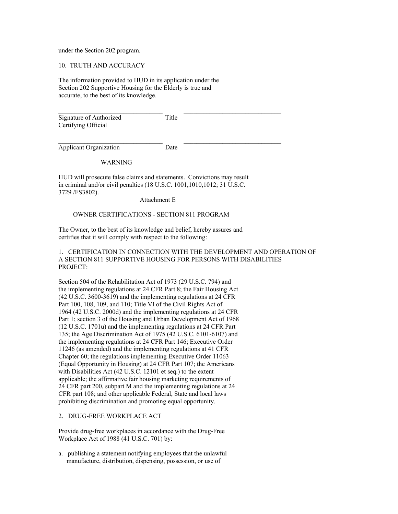under the Section 202 program.

10. TRUTH AND ACCURACY

The information provided to HUD in its application under the Section 202 Supportive Housing for the Elderly is true and accurate, to the best of its knowledge.

| Signature of Authorized | Title |  |
|-------------------------|-------|--|
| Certifying Official     |       |  |
|                         |       |  |

\_\_\_\_\_\_\_\_\_\_\_\_\_\_\_\_\_\_\_\_\_\_\_\_\_\_\_\_\_\_\_\_ \_\_\_\_\_\_\_\_\_\_\_\_\_\_\_\_\_\_\_\_\_\_\_\_\_\_\_\_\_\_

Applicant Organization Date

### WARNING

HUD will prosecute false claims and statements. Convictions may result in criminal and/or civil penalties (18 U.S.C. 1001,1010,1012; 31 U.S.C. 3729 /FS3802).

Attachment E

# OWNER CERTIFICATIONS - SECTION 811 PROGRAM

The Owner, to the best of its knowledge and belief, hereby assures and certifies that it will comply with respect to the following:

1. CERTIFICATION IN CONNECTION WITH THE DEVELOPMENT AND OPERATION OF A SECTION 811 SUPPORTIVE HOUSING FOR PERSONS WITH DISABILITIES PROJECT:

Section 504 of the Rehabilitation Act of 1973 (29 U.S.C. 794) and the implementing regulations at 24 CFR Part 8; the Fair Housing Act (42 U.S.C. 3600-3619) and the implementing regulations at 24 CFR Part 100, 108, 109, and 110; Title VI of the Civil Rights Act of 1964 (42 U.S.C. 2000d) and the implementing regulations at 24 CFR Part 1; section 3 of the Housing and Urban Development Act of 1968 (12 U.S.C. 1701u) and the implementing regulations at 24 CFR Part 135; the Age Discrimination Act of 1975 (42 U.S.C. 6101-6107) and the implementing regulations at 24 CFR Part 146; Executive Order 11246 (as amended) and the implementing regulations at 41 CFR Chapter 60; the regulations implementing Executive Order 11063 (Equal Opportunity in Housing) at 24 CFR Part 107; the Americans with Disabilities Act (42 U.S.C. 12101 et seq.) to the extent applicable; the affirmative fair housing marketing requirements of 24 CFR part 200, subpart M and the implementing regulations at 24 CFR part 108; and other applicable Federal, State and local laws prohibiting discrimination and promoting equal opportunity.

### 2. DRUG-FREE WORKPLACE ACT

Provide drug-free workplaces in accordance with the Drug-Free Workplace Act of 1988 (41 U.S.C. 701) by:

a. publishing a statement notifying employees that the unlawful manufacture, distribution, dispensing, possession, or use of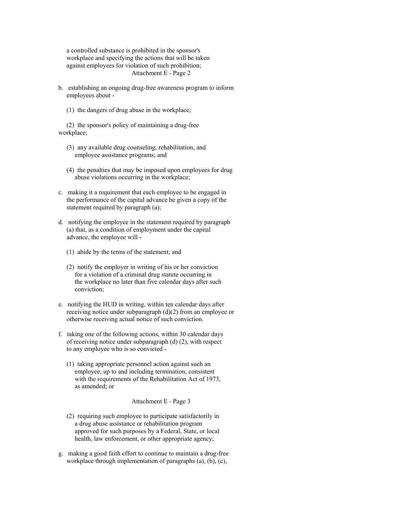a controlled substance is prohibited in the sponsor's workplace and specifying the actions that will be taken against employees for violation of such prohibition; Attachment E - Page 2

- b. establishing an ongoing drug-free awareness program to inform employees about -
	- (1) the dangers of drug abuse in the workplace;

 (2) the sponsor's policy of maintaining a drug-free workplace;

- (3) any available drug counseling, rehabilitation, and employee assistance programs; and
- (4) the penalties that may be imposed upon employees for drug abuse violations occurring in the workplace;
- c. making it a requirement that each employee to be engaged in the performance of the capital advance be given a copy of the statement required by paragraph (a);
- d. notifying the employee in the statement required by paragraph (a) that, as a condition of employment under the capital advance, the employee will -
	- (1) abide by the terms of the statement; and
	- (2) notify the employer in writing of his or her conviction for a violation of a criminal drug statute occurring in the workplace no later than five calendar days after such conviction;
- e. notifying the HUD in writing, within ten calendar days after receiving notice under subparagraph (d)(2) from an employee or otherwise receiving actual notice of such conviction.
- f. taking one of the following actions, within 30 calendar days of receiving notice under subparagraph (d) (2), with respect to any employee who is so convicted -
	- (1) taking appropriate personnel action against such an employee, up to and including termination, consistent with the requirements of the Rehabilitation Act of 1973, as amended; or

Attachment E - Page 3

- (2) requiring such employee to participate satisfactorily in a drug abuse assistance or rehabilitation program approved for such purposes by a Federal, State, or local health, law enforcement, or other appropriate agency;
- g. making a good faith effort to continue to maintain a drug-free workplace through implementation of paragraphs (a), (b), (c),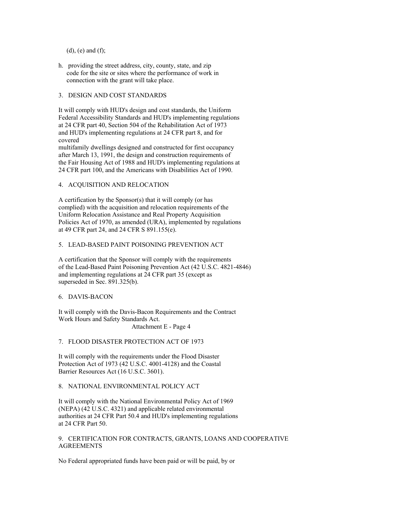$(d)$ ,  $(e)$  and  $(f)$ ;

h. providing the street address, city, county, state, and zip code for the site or sites where the performance of work in connection with the grant will take place.

# 3. DESIGN AND COST STANDARDS

It will comply with HUD's design and cost standards, the Uniform Federal Accessibility Standards and HUD's implementing regulations at 24 CFR part 40, Section 504 of the Rehabilitation Act of 1973 and HUD's implementing regulations at 24 CFR part 8, and for covered multifamily dwellings designed and constructed for first occupancy after March 13, 1991, the design and construction requirements of

the Fair Housing Act of 1988 and HUD's implementing regulations at 24 CFR part 100, and the Americans with Disabilities Act of 1990.

4. ACQUISITION AND RELOCATION

A certification by the Sponsor(s) that it will comply (or has complied) with the acquisition and relocation requirements of the Uniform Relocation Assistance and Real Property Acquisition Policies Act of 1970, as amended (URA), implemented by regulations at 49 CFR part 24, and 24 CFR S 891.155(e).

# 5. LEAD-BASED PAINT POISONING PREVENTION ACT

A certification that the Sponsor will comply with the requirements of the Lead-Based Paint Poisoning Prevention Act (42 U.S.C. 4821-4846) and implementing regulations at 24 CFR part 35 (except as superseded in Sec. 891.325(b).

### 6. DAVIS-BACON

It will comply with the Davis-Bacon Requirements and the Contract Work Hours and Safety Standards Act. Attachment E - Page 4

7. FLOOD DISASTER PROTECTION ACT OF 1973

It will comply with the requirements under the Flood Disaster Protection Act of 1973 (42 U.S.C. 4001-4128) and the Coastal Barrier Resources Act (16 U.S.C. 3601).

8. NATIONAL ENVIRONMENTAL POLICY ACT

It will comply with the National Environmental Policy Act of 1969 (NEPA) (42 U.S.C. 4321) and applicable related environmental authorities at 24 CFR Part 50.4 and HUD's implementing regulations at 24 CFR Part 50.

9. CERTIFICATION FOR CONTRACTS, GRANTS, LOANS AND COOPERATIVE **AGREEMENTS** 

No Federal appropriated funds have been paid or will be paid, by or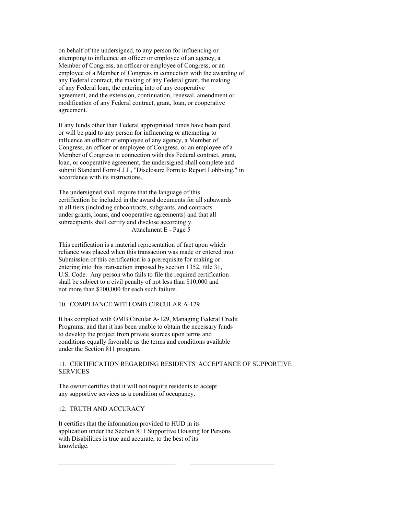on behalf of the undersigned, to any person for influencing or attempting to influence an officer or employee of an agency, a Member of Congress, an officer or employee of Congress, or an employee of a Member of Congress in connection with the awarding of any Federal contract, the making of any Federal grant, the making of any Federal loan, the entering into of any cooperative agreement, and the extension, continuation, renewal, amendment or modification of any Federal contract, grant, loan, or cooperative agreement.

If any funds other than Federal appropriated funds have been paid or will be paid to any person for influencing or attempting to influence an officer or employee of any agency, a Member of Congress, an officer or employee of Congress, or an employee of a Member of Congress in connection with this Federal contract, grant, loan, or cooperative agreement, the undersigned shall complete and submit Standard Form-LLL, "Disclosure Form to Report Lobbying," in accordance with its instructions.

The undersigned shall require that the language of this certification be included in the award documents for all subawards at all tiers (including subcontracts, subgrants, and contracts under grants, loans, and cooperative agreements) and that all subrecipients shall certify and disclose accordingly. Attachment E - Page 5

This certification is a material representation of fact upon which reliance was placed when this transaction was made or entered into. Submission of this certification is a prerequisite for making or entering into this transaction imposed by section 1352, title 31, U.S. Code. Any person who fails to file the required certification shall be subject to a civil penalty of not less than \$10,000 and not more than \$100,000 for each such failure.

# 10. COMPLIANCE WITH OMB CIRCULAR A-129

It has complied with OMB Circular A-129, Managing Federal Credit Programs, and that it has been unable to obtain the necessary funds to develop the project from private sources upon terms and conditions equally favorable as the terms and conditions available under the Section 811 program.

# 11. CERTIFICATION REGARDING RESIDENTS' ACCEPTANCE OF SUPPORTIVE SERVICES

The owner certifies that it will not require residents to accept any supportive services as a condition of occupancy.

# 12. TRUTH AND ACCURACY

It certifies that the information provided to HUD in its application under the Section 811 Supportive Housing for Persons with Disabilities is true and accurate, to the best of its knowledge.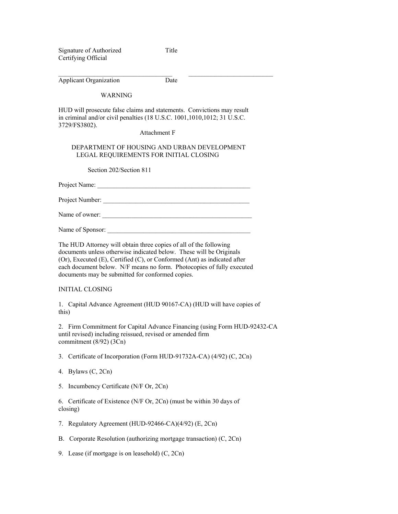Signature of Authorized Title Certifying Official

 $\_$  , and the set of the set of the set of the set of the set of the set of the set of the set of the set of the set of the set of the set of the set of the set of the set of the set of the set of the set of the set of th

| <b>Applicant Organization</b> | Date |
|-------------------------------|------|
|-------------------------------|------|

#### WARNING

HUD will prosecute false claims and statements. Convictions may result in criminal and/or civil penalties (18 U.S.C. 1001,1010,1012; 31 U.S.C. 3729/FS3802).

# Attachment F

### DEPARTMENT OF HOUSING AND URBAN DEVELOPMENT LEGAL REQUIREMENTS FOR INITIAL CLOSING

Section 202/Section 811

Project Name: \_\_\_\_\_\_\_\_\_\_\_\_\_\_\_\_\_\_\_\_\_\_\_\_\_\_\_\_\_\_\_\_\_\_\_\_\_\_\_\_\_\_\_\_\_\_\_

Project Number:

Name of owner: \_\_\_\_\_\_\_\_\_\_\_\_\_\_\_\_\_\_\_\_\_\_\_\_\_\_\_\_\_\_\_\_\_\_\_\_\_\_\_\_\_\_\_\_\_\_

Name of Sponsor: \_\_\_\_\_\_\_\_\_\_\_\_\_\_\_\_\_\_\_\_\_\_\_\_\_\_\_\_\_\_\_\_\_\_\_\_\_\_\_\_\_\_\_\_

The HUD Attorney will obtain three copies of all of the following documents unless otherwise indicated below. These will be Originals (Or), Executed (E), Certified (C), or Conformed (Ant) as indicated after each document below. N/F means no form. Photocopies of fully executed documents may be submitted for conformed copies.

### INITIAL CLOSING

1. Capital Advance Agreement (HUD 90167-CA) (HUD will have copies of this)

2. Firm Commitment for Capital Advance Financing (using Form HUD-92432-CA until revised) including reissued, revised or amended firm commitment (8/92) (3Cn)

3. Certificate of Incorporation (Form HUD-91732A-CA) (4/92) (C, 2Cn)

- 4. Bylaws (C, 2Cn)
- 5. Incumbency Certificate (N/F Or, 2Cn)

6. Certificate of Existence (N/F Or, 2Cn) (must be within 30 days of closing)

- 7. Regulatory Agreement (HUD-92466-CA)(4/92) (E, 2Cn)
- B. Corporate Resolution (authorizing mortgage transaction) (C, 2Cn)
- 9. Lease (if mortgage is on leasehold) (C, 2Cn)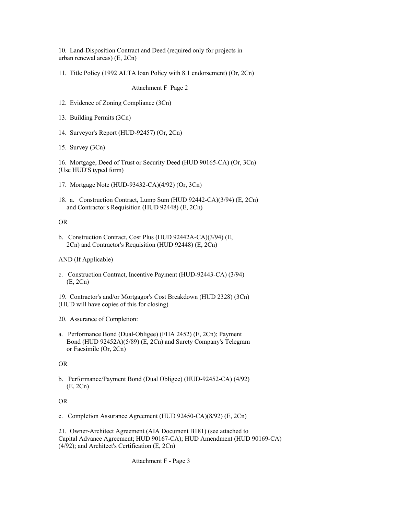10. Land-Disposition Contract and Deed (required only for projects in urban renewal areas) (E, 2Cn)

11. Title Policy (1992 ALTA loan Policy with 8.1 endorsement) (Or, 2Cn)

Attachment F Page 2

- 12. Evidence of Zoning Compliance (3Cn)
- 13. Building Permits (3Cn)
- 14. Surveyor's Report (HUD-92457) (Or, 2Cn)
- 15. Survey (3Cn)

16. Mortgage, Deed of Trust or Security Deed (HUD 90165-CA) (Or, 3Cn) (Use HUD'S typed form)

- 17. Mortgage Note (HUD-93432-CA)(4/92) (Or, 3Cn)
- 18. a. Construction Contract, Lump Sum (HUD 92442-CA)(3/94) (E, 2Cn) and Contractor's Requisition (HUD 92448) (E, 2Cn)

OR

b. Construction Contract, Cost Plus (HUD 92442A-CA)(3/94) (E, 2Cn) and Contractor's Requisition (HUD 92448) (E, 2Cn)

AND (If Applicable)

- c. Construction Contract, Incentive Payment (HUD-92443-CA) (3/94) (E, 2Cn)
- 19. Contractor's and/or Mortgagor's Cost Breakdown (HUD 2328) (3Cn) (HUD will have copies of this for closing)
- 20. Assurance of Completion:
- a. Performance Bond (Dual-Obligee) (FHA 2452) (E, 2Cn); Payment Bond (HUD 92452A)(5/89) (E, 2Cn) and Surety Company's Telegram or Facsimile (Or, 2Cn)

OR

b. Performance/Payment Bond (Dual Obligee) (HUD-92452-CA) (4/92) (E, 2Cn)

OR

c. Completion Assurance Agreement (HUD 92450-CA)(8/92) (E, 2Cn)

21. Owner-Architect Agreement (AIA Document B181) (see attached to Capital Advance Agreement; HUD 90167-CA); HUD Amendment (HUD 90169-CA) (4/92); and Architect's Certification (E, 2Cn)

Attachment F - Page 3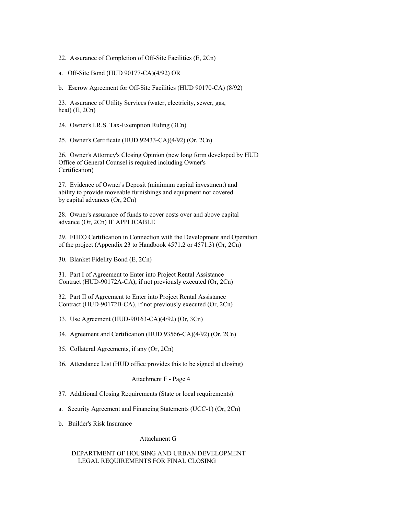22. Assurance of Completion of Off-Site Facilities (E, 2Cn)

a. Off-Site Bond (HUD 90177-CA)(4/92) OR

b. Escrow Agreement for Off-Site Facilities (HUD 90170-CA) (8/92)

23. Assurance of Utility Services (water, electricity, sewer, gas, heat) (E, 2Cn)

24. Owner's I.R.S. Tax-Exemption Ruling (3Cn)

25. Owner's Certificate (HUD 92433-CA)(4/92) (Or, 2Cn)

26. Owner's Attorney's Closing Opinion (new long form developed by HUD Office of General Counsel is required including Owner's Certification)

27. Evidence of Owner's Deposit (minimum capital investment) and ability to provide moveable furnishings and equipment not covered by capital advances (Or, 2Cn)

28. Owner's assurance of funds to cover costs over and above capital advance (Or, 2Cn) IF APPLICABLE

29. FHEO Certification in Connection with the Development and Operation of the project (Appendix 23 to Handbook 4571.2 or 4571.3) (Or, 2Cn)

30. Blanket Fidelity Bond (E, 2Cn)

31. Part I of Agreement to Enter into Project Rental Assistance Contract (HUD-90172A-CA), if not previously executed (Or, 2Cn)

32. Part II of Agreement to Enter into Project Rental Assistance Contract (HUD-90172B-CA), if not previously executed (Or, 2Cn)

33. Use Agreement (HUD-90163-CA)(4/92) (Or, 3Cn)

34. Agreement and Certification (HUD 93566-CA)(4/92) (Or, 2Cn)

- 35. Collateral Agreements, if any (Or, 2Cn)
- 36. Attendance List (HUD office provides this to be signed at closing)

Attachment F - Page 4

- 37. Additional Closing Requirements (State or local requirements):
- a. Security Agreement and Financing Statements (UCC-1) (Or, 2Cn)
- b. Builder's Risk Insurance

Attachment G

# DEPARTMENT OF HOUSING AND URBAN DEVELOPMENT LEGAL REQUIREMENTS FOR FINAL CLOSING